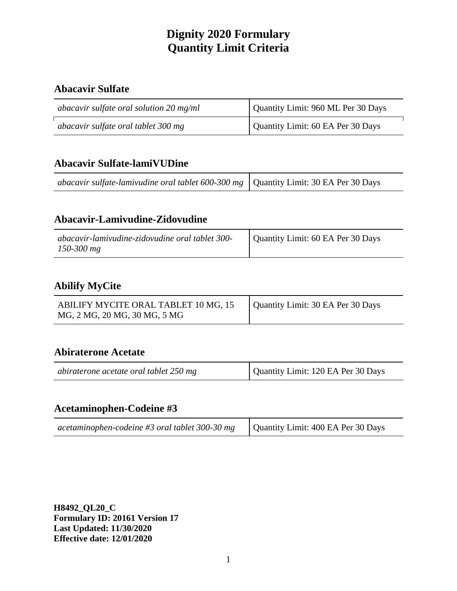# **Abacavir Sulfate**

| abacavir sulfate oral solution 20 mg/ml | Quantity Limit: 960 ML Per 30 Days |
|-----------------------------------------|------------------------------------|
| abacavir sulfate oral tablet 300 mg     | Quantity Limit: 60 EA Per 30 Days  |

### **Abacavir Sulfate-lamiVUDine**

|  | <i>abacavir sulfate-lamivudine oral tablet</i> 600-300 $mg$ Quantity Limit: 30 EA Per 30 Days |  |
|--|-----------------------------------------------------------------------------------------------|--|
|--|-----------------------------------------------------------------------------------------------|--|

## **Abacavir-Lamivudine-Zidovudine**

| abacavir-lamivudine-zidovudine oral tablet 300-<br>$150 - 300$ mg | Quantity Limit: 60 EA Per 30 Days |
|-------------------------------------------------------------------|-----------------------------------|
|-------------------------------------------------------------------|-----------------------------------|

## **Abilify MyCite**

| ABILIFY MYCITE ORAL TABLET 10 MG, 15<br>MG, 2 MG, 20 MG, 30 MG, 5 MG | Quantity Limit: 30 EA Per 30 Days |
|----------------------------------------------------------------------|-----------------------------------|

### **Abiraterone Acetate**

| Quantity Limit: 120 EA Per 30 Days<br>abiraterone acetate oral tablet 250 mg |
|------------------------------------------------------------------------------|
|------------------------------------------------------------------------------|

# **Acetaminophen-Codeine #3**

| acetaminophen-codeine #3 oral tablet 300-30 mg | Quantity Limit: 400 EA Per 30 Days |
|------------------------------------------------|------------------------------------|
|------------------------------------------------|------------------------------------|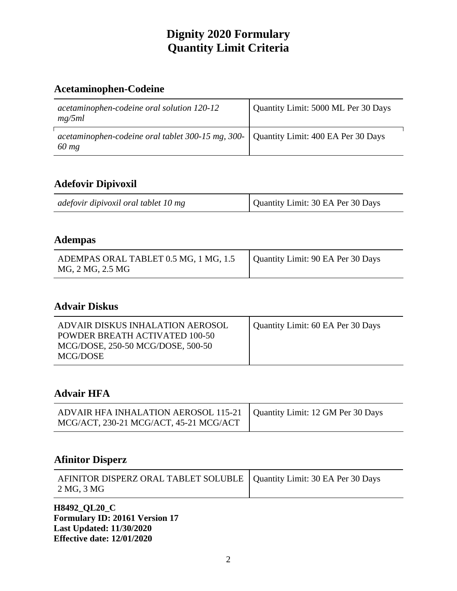# **Acetaminophen-Codeine**

| acetaminophen-codeine oral solution 120-12<br>mg/5ml                                              | Quantity Limit: 5000 ML Per 30 Days |
|---------------------------------------------------------------------------------------------------|-------------------------------------|
| acetaminophen-codeine oral tablet 300-15 mg, 300-   Quantity Limit: 400 EA Per 30 Days<br>$60$ mg |                                     |

# **Adefovir Dipivoxil**

| Quantity Limit: 30 EA Per 30 Days<br>adefovir dipivoxil oral tablet 10 mg |
|---------------------------------------------------------------------------|
|---------------------------------------------------------------------------|

# **Adempas**

| ADEMPAS ORAL TABLET 0.5 MG, 1 MG, 1.5 | Quantity Limit: 90 EA Per 30 Days |
|---------------------------------------|-----------------------------------|
| MG, 2 MG, 2.5 MG                      |                                   |

## **Advair Diskus**

| ADVAIR DISKUS INHALATION AEROSOL  | Quantity Limit: 60 EA Per 30 Days |
|-----------------------------------|-----------------------------------|
| POWDER BREATH ACTIVATED 100-50    |                                   |
| MCG/DOSE, 250-50 MCG/DOSE, 500-50 |                                   |
| MCG/DOSE                          |                                   |

## **Advair HFA**

| ADVAIR HFA INHALATION AEROSOL 115-21   Quantity Limit: 12 GM Per 30 Days |  |
|--------------------------------------------------------------------------|--|
| MCG/ACT, 230-21 MCG/ACT, 45-21 MCG/ACT                                   |  |

#### **Afinitor Disperz**

| AFINITOR DISPERZ ORAL TABLET SOLUBLE   Quantity Limit: 30 EA Per 30 Days<br>2 MG, 3 MG |  |
|----------------------------------------------------------------------------------------|--|
|                                                                                        |  |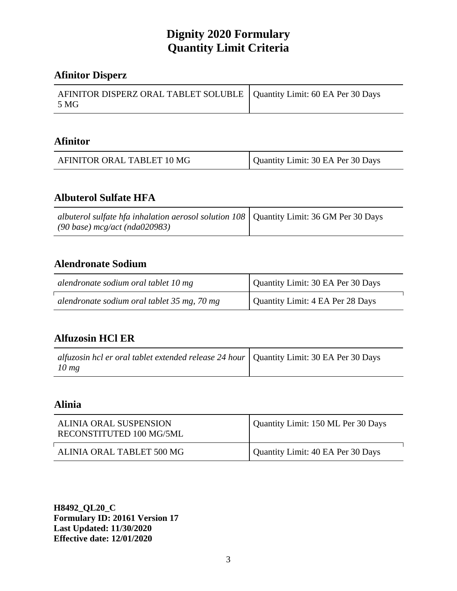# **Afinitor Disperz**

| AFINITOR DISPERZ ORAL TABLET SOLUBLE   Quantity Limit: 60 EA Per 30 Days |  |
|--------------------------------------------------------------------------|--|
| - 5 MG                                                                   |  |

## **Afinitor**

| Quantity Limit: 30 EA Per 30 Days |
|-----------------------------------|
|-----------------------------------|

#### **Albuterol Sulfate HFA**

| albuterol sulfate hfa inhalation aerosol solution 108   Quantity Limit: 36 GM Per 30 Days |  |
|-------------------------------------------------------------------------------------------|--|
| (90 base) mcg/act (nda020983)                                                             |  |

## **Alendronate Sodium**

| alendronate sodium oral tablet 10 mg        | Quantity Limit: 30 EA Per 30 Days |
|---------------------------------------------|-----------------------------------|
| alendronate sodium oral tablet 35 mg, 70 mg | Quantity Limit: 4 EA Per 28 Days  |

# **Alfuzosin HCl ER**

| alfuzosin hcl er oral tablet extended release 24 hour   Quantity Limit: 30 EA Per 30 Days |  |
|-------------------------------------------------------------------------------------------|--|
| $10 \, mg$                                                                                |  |

# **Alinia**

| ALINIA ORAL SUSPENSION<br>RECONSTITUTED 100 MG/5ML | Quantity Limit: 150 ML Per 30 Days |
|----------------------------------------------------|------------------------------------|
| ALINIA ORAL TABLET 500 MG                          | Quantity Limit: 40 EA Per 30 Days  |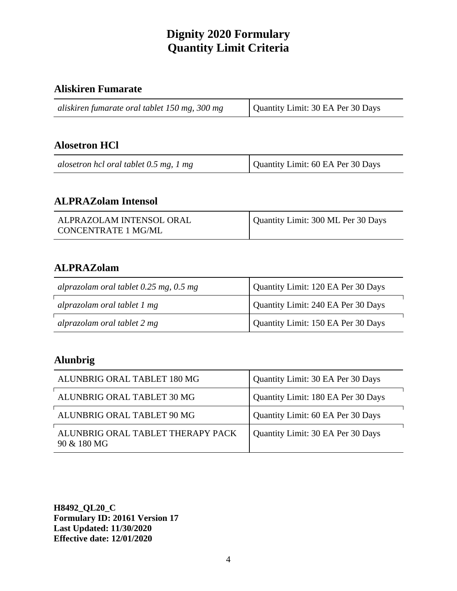### **Aliskiren Fumarate**

| aliskiren fumarate oral tablet 150 mg, 300 mg | Quantity Limit: 30 EA Per 30 Days |
|-----------------------------------------------|-----------------------------------|
|                                               |                                   |

#### **Alosetron HCl**

| alosetron hcl oral tablet 0.5 mg, 1 mg | Quantity Limit: 60 EA Per 30 Days |
|----------------------------------------|-----------------------------------|
|----------------------------------------|-----------------------------------|

#### **ALPRAZolam Intensol**

| ALPRAZOLAM INTENSOL ORAL | Quantity Limit: 300 ML Per 30 Days |
|--------------------------|------------------------------------|
| CONCENTRATE 1 MG/ML      |                                    |

### **ALPRAZolam**

| alprazolam oral tablet $0.25$ mg, $0.5$ mg | Quantity Limit: 120 EA Per 30 Days |
|--------------------------------------------|------------------------------------|
| alprazolam oral tablet 1 mg                | Quantity Limit: 240 EA Per 30 Days |
| alprazolam oral tablet 2 mg                | Quantity Limit: 150 EA Per 30 Days |

### **Alunbrig**

| ALUNBRIG ORAL TABLET 180 MG                      | Quantity Limit: 30 EA Per 30 Days  |
|--------------------------------------------------|------------------------------------|
| ALUNBRIG ORAL TABLET 30 MG                       | Quantity Limit: 180 EA Per 30 Days |
| ALUNBRIG ORAL TABLET 90 MG                       | Quantity Limit: 60 EA Per 30 Days  |
| ALUNBRIG ORAL TABLET THERAPY PACK<br>90 & 180 MG | Quantity Limit: 30 EA Per 30 Days  |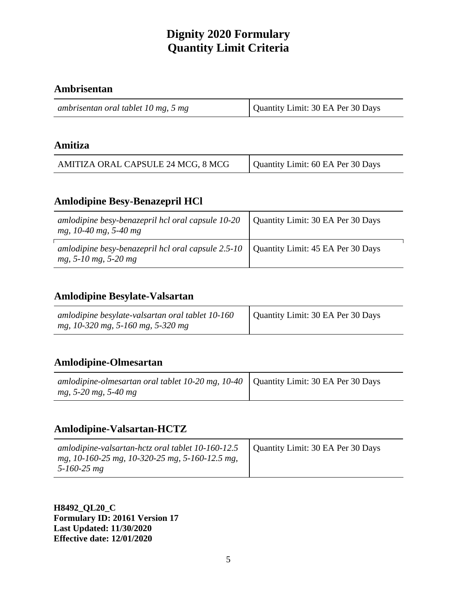## **Ambrisentan**

| Quantity Limit: 30 EA Per 30 Days<br>ambrisentan oral tablet 10 mg, 5 mg |
|--------------------------------------------------------------------------|
|--------------------------------------------------------------------------|

## **Amitiza**

| AMITIZA ORAL CAPSULE 24 MCG, 8 MCG | Quantity Limit: 60 EA Per 30 Days |
|------------------------------------|-----------------------------------|

### **Amlodipine Besy-Benazepril HCl**

| amlodipine besy-benazepril hcl oral capsule 10-20<br>mg, 10-40 mg, 5-40 mg                                               | Quantity Limit: 30 EA Per 30 Days |
|--------------------------------------------------------------------------------------------------------------------------|-----------------------------------|
| amlodipine besy-benazepril hcl oral capsule 2.5-10   Quantity Limit: 45 EA Per 30 Days<br>$mg, 5{\text -}10$ mg, 5-20 mg |                                   |

### **Amlodipine Besylate-Valsartan**

| amlodipine besylate-valsartan oral tablet 10-160 | Quantity Limit: 30 EA Per 30 Days |
|--------------------------------------------------|-----------------------------------|
| mg, 10-320 mg, 5-160 mg, 5-320 mg                |                                   |

### **Amlodipine-Olmesartan**

| amlodipine-olmesartan oral tablet 10-20 mg, 10-40   Quantity Limit: 30 EA Per 30 Days |  |
|---------------------------------------------------------------------------------------|--|
| $mg, 5{\text -}20$ mg, 5-40 mg                                                        |  |

## **Amlodipine-Valsartan-HCTZ**

| amlodipine-valsartan-hctz oral tablet 10-160-12.5   Quantity Limit: 30 EA Per 30 Days<br>mg, 10-160-25 mg, 10-320-25 mg, 5-160-12.5 mg,<br>$5 - 160 - 25$ mg |  |
|--------------------------------------------------------------------------------------------------------------------------------------------------------------|--|
|                                                                                                                                                              |  |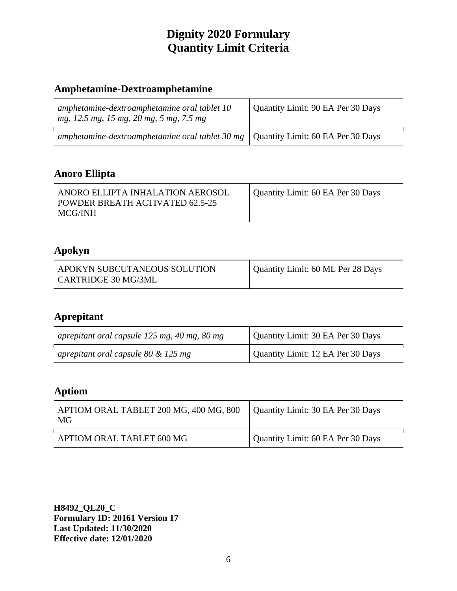# **Amphetamine-Dextroamphetamine**

| amphetamine-dextroamphetamine oral tablet 10<br>mg, 12.5 mg, 15 mg, 20 mg, 5 mg, 7.5 mg   | Quantity Limit: 90 EA Per 30 Days |
|-------------------------------------------------------------------------------------------|-----------------------------------|
| amphetamine-dextroamphetamine oral tablet 30 mg $\vert$ Quantity Limit: 60 EA Per 30 Days |                                   |

# **Anoro Ellipta**

## **Apokyn**

| APOKYN SUBCUTANEOUS SOLUTION | Quantity Limit: 60 ML Per 28 Days |
|------------------------------|-----------------------------------|
| <b>CARTRIDGE 30 MG/3ML</b>   |                                   |

# **Aprepitant**

| aprepitant oral capsule 125 mg, 40 mg, 80 mg | Quantity Limit: 30 EA Per 30 Days |
|----------------------------------------------|-----------------------------------|
| aprepitant oral capsule $80 \& 125$ mg       | Quantity Limit: 12 EA Per 30 Days |

# **Aptiom**

| APTIOM ORAL TABLET 200 MG, 400 MG, 800<br>MG | Quantity Limit: 30 EA Per 30 Days |
|----------------------------------------------|-----------------------------------|
| APTIOM ORAL TABLET 600 MG                    | Quantity Limit: 60 EA Per 30 Days |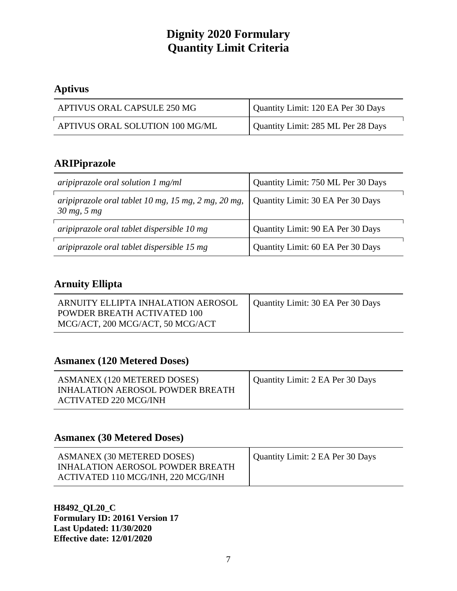# **Aptivus**

| APTIVUS ORAL CAPSULE 250 MG     | Quantity Limit: 120 EA Per 30 Days |
|---------------------------------|------------------------------------|
| APTIVUS ORAL SOLUTION 100 MG/ML | Quantity Limit: 285 ML Per 28 Days |

## **ARIPiprazole**

| aripiprazole oral solution $1 \text{ mg/ml}$                               | Quantity Limit: 750 ML Per 30 Days |
|----------------------------------------------------------------------------|------------------------------------|
| aripiprazole oral tablet 10 mg, 15 mg, 2 mg, 20 mg,<br>$30 \, mg, 5 \, mg$ | Quantity Limit: 30 EA Per 30 Days  |
| aripiprazole oral tablet dispersible 10 mg                                 | Quantity Limit: 90 EA Per 30 Days  |
| aripiprazole oral tablet dispersible 15 mg                                 | Quantity Limit: 60 EA Per 30 Days  |

# **Arnuity Ellipta**

| Quantity Limit: 30 EA Per 30 Days |
|-----------------------------------|
|                                   |
|                                   |
|                                   |

### **Asmanex (120 Metered Doses)**

| ASMANEX (120 METERED DOSES)<br>INHALATION AEROSOL POWDER BREATH<br><b>ACTIVATED 220 MCG/INH</b> | Quantity Limit: 2 EA Per 30 Days |
|-------------------------------------------------------------------------------------------------|----------------------------------|
|-------------------------------------------------------------------------------------------------|----------------------------------|

# **Asmanex (30 Metered Doses)**

| ASMANEX (30 METERED DOSES)         | Quantity Limit: 2 EA Per 30 Days |
|------------------------------------|----------------------------------|
| INHALATION AEROSOL POWDER BREATH   |                                  |
| ACTIVATED 110 MCG/INH, 220 MCG/INH |                                  |
|                                    |                                  |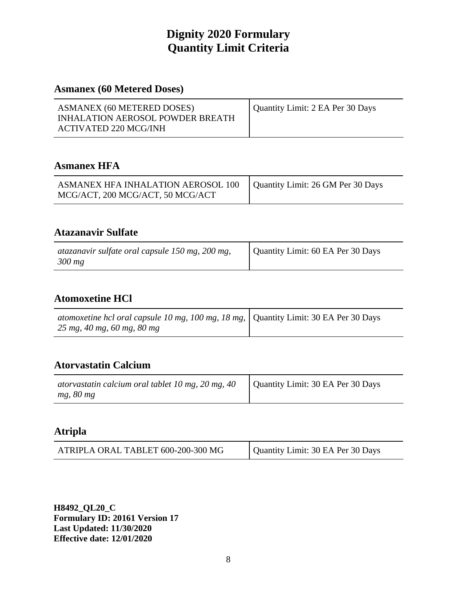#### **Asmanex (60 Metered Doses)**

| ASMANEX (60 METERED DOSES)<br>INHALATION AEROSOL POWDER BREATH<br><b>ACTIVATED 220 MCG/INH</b> | Quantity Limit: 2 EA Per 30 Days |
|------------------------------------------------------------------------------------------------|----------------------------------|

### **Asmanex HFA**

| ASMANEX HFA INHALATION AEROSOL 100 | Quantity Limit: 26 GM Per 30 Days |
|------------------------------------|-----------------------------------|
| MCG/ACT, 200 MCG/ACT, 50 MCG/ACT   |                                   |

#### **Atazanavir Sulfate**

| atazanavir sulfate oral capsule 150 mg, 200 mg,<br>$300$ mg | Quantity Limit: 60 EA Per 30 Days |
|-------------------------------------------------------------|-----------------------------------|
|-------------------------------------------------------------|-----------------------------------|

## **Atomoxetine HCl**

| atomoxetine hcl oral capsule 10 mg, 100 mg, 18 mg,   Quantity Limit: 30 EA Per 30 Days |  |
|----------------------------------------------------------------------------------------|--|
| $25 \, mg$ , 40 mg, 60 mg, 80 mg                                                       |  |

### **Atorvastatin Calcium**

| atorvastatin calcium oral tablet 10 mg, 20 mg, 40 | Quantity Limit: 30 EA Per 30 Days |
|---------------------------------------------------|-----------------------------------|
| mg, 80 mg                                         |                                   |

#### **Atripla**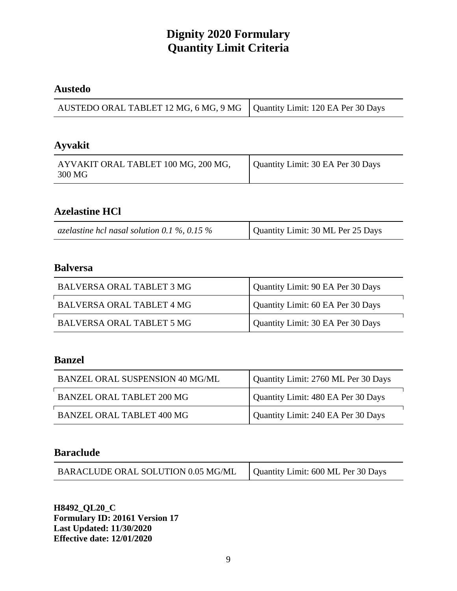#### **Austedo**

| AUSTEDO ORAL TABLET 12 MG, 6 MG, 9 MG   Quantity Limit: 120 EA Per 30 Days |  |
|----------------------------------------------------------------------------|--|
|----------------------------------------------------------------------------|--|

# **Ayvakit**

| AYVAKIT ORAL TABLET 100 MG, 200 MG,<br>300 MG | Quantity Limit: 30 EA Per 30 Days |
|-----------------------------------------------|-----------------------------------|
|-----------------------------------------------|-----------------------------------|

### **Azelastine HCl**

| azelastine hcl nasal solution 0.1 %, 0.15 % | Quantity Limit: 30 ML Per 25 Days |
|---------------------------------------------|-----------------------------------|
|---------------------------------------------|-----------------------------------|

#### **Balversa**

| <b>BALVERSA ORAL TABLET 3 MG</b> | Quantity Limit: 90 EA Per 30 Days |
|----------------------------------|-----------------------------------|
| <b>BALVERSA ORAL TABLET 4 MG</b> | Quantity Limit: 60 EA Per 30 Days |
| BALVERSA ORAL TABLET 5 MG        | Quantity Limit: 30 EA Per 30 Days |

### **Banzel**

| BANZEL ORAL SUSPENSION 40 MG/ML  | Quantity Limit: 2760 ML Per 30 Days |
|----------------------------------|-------------------------------------|
| <b>BANZEL ORAL TABLET 200 MG</b> | Quantity Limit: 480 EA Per 30 Days  |
| <b>BANZEL ORAL TABLET 400 MG</b> | Quantity Limit: 240 EA Per 30 Days  |

### **Baraclude**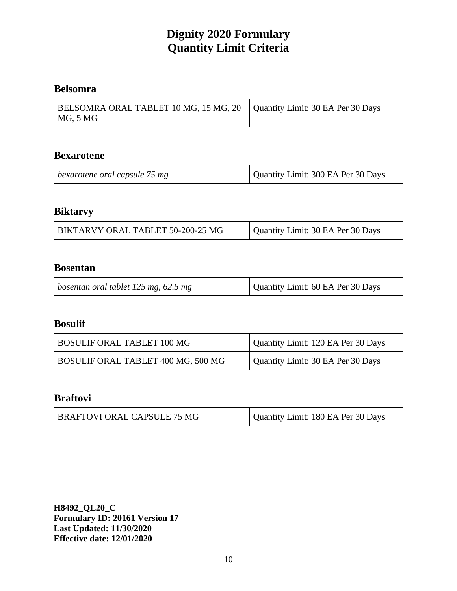### **Belsomra**

| BELSOMRA ORAL TABLET 10 MG, 15 MG, 20   Quantity Limit: 30 EA Per 30 Days |  |
|---------------------------------------------------------------------------|--|
| MG, 5 MG                                                                  |  |

#### **Bexarotene**

| bexarotene oral capsule 75 mg | Quantity Limit: 300 EA Per 30 Days |
|-------------------------------|------------------------------------|
|-------------------------------|------------------------------------|

# **Biktarvy**

| BIKTARVY ORAL TABLET 50-200-25 MG | Quantity Limit: 30 EA Per 30 Days |
|-----------------------------------|-----------------------------------|
|-----------------------------------|-----------------------------------|

#### **Bosentan**

| bosentan oral tablet 125 mg, 62.5 mg | Quantity Limit: 60 EA Per 30 Days |
|--------------------------------------|-----------------------------------|
|                                      |                                   |

### **Bosulif**

| <b>BOSULIF ORAL TABLET 100 MG</b>  | Quantity Limit: 120 EA Per 30 Days |
|------------------------------------|------------------------------------|
| BOSULIF ORAL TABLET 400 MG, 500 MG | Quantity Limit: 30 EA Per 30 Days  |

## **Braftovi**

| <b>BRAFTOVI ORAL CAPSULE 75 MG</b> | Quantity Limit: 180 EA Per 30 Days |
|------------------------------------|------------------------------------|
|                                    |                                    |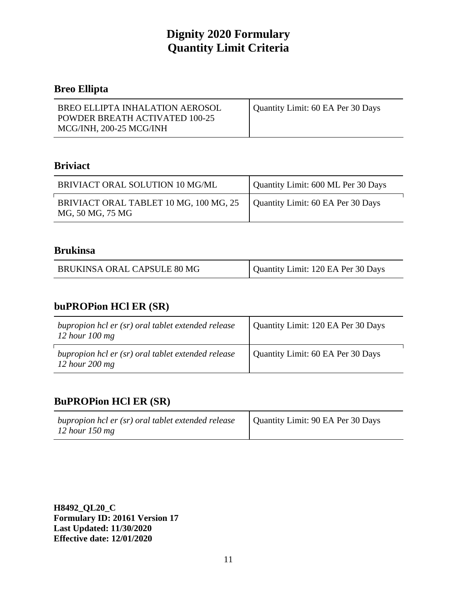# **Breo Ellipta**

| BREO ELLIPTA INHALATION AEROSOL<br><b>POWDER BREATH ACTIVATED 100-25</b> | Quantity Limit: 60 EA Per 30 Days |
|--------------------------------------------------------------------------|-----------------------------------|
| MCG/INH, 200-25 MCG/INH                                                  |                                   |

### **Briviact**

| BRIVIACT ORAL SOLUTION 10 MG/ML                            | Quantity Limit: 600 ML Per 30 Days |
|------------------------------------------------------------|------------------------------------|
| BRIVIACT ORAL TABLET 10 MG, 100 MG, 25<br>MG, 50 MG, 75 MG | Quantity Limit: 60 EA Per 30 Days  |

# **Brukinsa**

| BRUKINSA ORAL CAPSULE 80 MG | Quantity Limit: 120 EA Per 30 Days |
|-----------------------------|------------------------------------|

## **buPROPion HCl ER (SR)**

| bupropion hcl er (sr) oral tablet extended release<br>$12$ hour $100$ mg | Quantity Limit: 120 EA Per 30 Days |
|--------------------------------------------------------------------------|------------------------------------|
| bupropion hcl er (sr) oral tablet extended release<br>12 hour $200$ mg   | Quantity Limit: 60 EA Per 30 Days  |

### **BuPROPion HCl ER (SR)**

| bupropion hcl er (sr) oral tablet extended release<br>12 hour 150 mg | Quantity Limit: 90 EA Per 30 Days |
|----------------------------------------------------------------------|-----------------------------------|
|----------------------------------------------------------------------|-----------------------------------|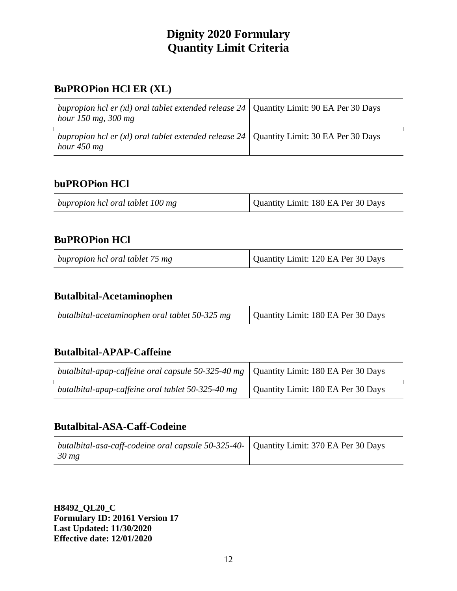# **BuPROPion HCl ER (XL)**

| bupropion hcl er (xl) oral tablet extended release $24$ Quantity Limit: 90 EA Per 30 Days<br>hour $150$ mg, $300$ mg |  |
|----------------------------------------------------------------------------------------------------------------------|--|
| bupropion hcl er (xl) oral tablet extended release $24$ Quantity Limit: 30 EA Per 30 Days<br>hour $450$ mg           |  |

## **buPROPion HCl**

| bupropion hcl oral tablet 100 mg | Quantity Limit: 180 EA Per 30 Days |
|----------------------------------|------------------------------------|
|----------------------------------|------------------------------------|

# **BuPROPion HCl**

| bupropion hcl oral tablet 75 mg | Quantity Limit: 120 EA Per 30 Days |
|---------------------------------|------------------------------------|
|---------------------------------|------------------------------------|

#### **Butalbital-Acetaminophen**

|  | butalbital-acetaminophen oral tablet 50-325 mg | Quantity Limit: 180 EA Per 30 Days |
|--|------------------------------------------------|------------------------------------|
|--|------------------------------------------------|------------------------------------|

### **Butalbital-APAP-Caffeine**

| butalbital-apap-caffeine oral capsule 50-325-40 mg $\vert$ Quantity Limit: 180 EA Per 30 Days |                                    |
|-----------------------------------------------------------------------------------------------|------------------------------------|
| butalbital-apap-caffeine oral tablet 50-325-40 mg                                             | Quantity Limit: 180 EA Per 30 Days |

### **Butalbital-ASA-Caff-Codeine**

| butalbital-asa-caff-codeine oral capsule 50-325-40-   Quantity Limit: 370 EA Per 30 Days |  |
|------------------------------------------------------------------------------------------|--|
| $30 \, mg$                                                                               |  |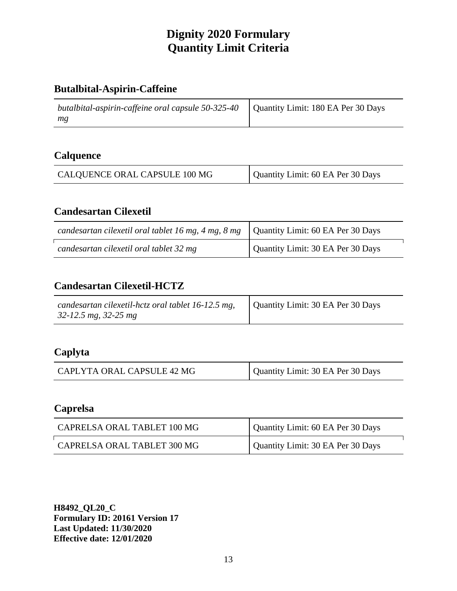# **Butalbital-Aspirin-Caffeine**

| butalbital-aspirin-caffeine oral capsule $50-325-40$ | Quantity Limit: 180 EA Per 30 Days |
|------------------------------------------------------|------------------------------------|
| mg                                                   |                                    |

### **Calquence**

| CALQUENCE ORAL CAPSULE 100 MG | Quantity Limit: 60 EA Per 30 Days |
|-------------------------------|-----------------------------------|
|                               |                                   |

### **Candesartan Cilexetil**

| candesartan cilexetil oral tablet 16 mg, 4 mg, 8 mg $\vert$ Quantity Limit: 60 EA Per 30 Days |                                   |
|-----------------------------------------------------------------------------------------------|-----------------------------------|
| candesartan cilexetil oral tablet 32 mg                                                       | Quantity Limit: 30 EA Per 30 Days |

## **Candesartan Cilexetil-HCTZ**

| candesartan cilexetil-hctz oral tablet 16-12.5 mg,<br>$32 - 12.5$ mg, 32-25 mg | Quantity Limit: 30 EA Per 30 Days |
|--------------------------------------------------------------------------------|-----------------------------------|
|--------------------------------------------------------------------------------|-----------------------------------|

#### **Caplyta**

| CAPLYTA ORAL CAPSULE 42 MG | Quantity Limit: 30 EA Per 30 Days |
|----------------------------|-----------------------------------|
|----------------------------|-----------------------------------|

## **Caprelsa**

| CAPRELSA ORAL TABLET 100 MG | Quantity Limit: 60 EA Per 30 Days |
|-----------------------------|-----------------------------------|
| CAPRELSA ORAL TABLET 300 MG | Quantity Limit: 30 EA Per 30 Days |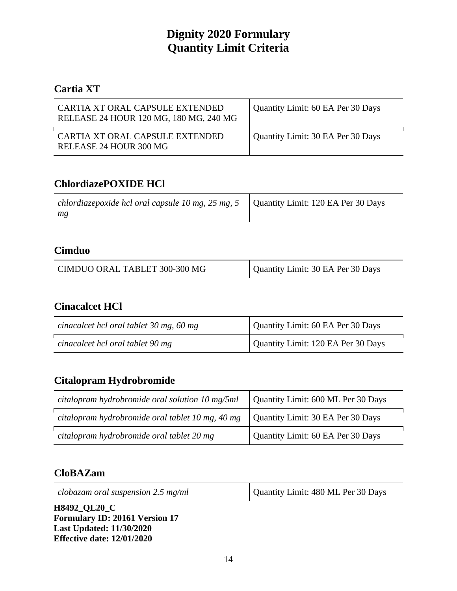## **Cartia XT**

| CARTIA XT ORAL CAPSULE EXTENDED<br>RELEASE 24 HOUR 120 MG, 180 MG, 240 MG | Quantity Limit: 60 EA Per 30 Days |
|---------------------------------------------------------------------------|-----------------------------------|
| CARTIA XT ORAL CAPSULE EXTENDED<br>RELEASE 24 HOUR 300 MG                 | Quantity Limit: 30 EA Per 30 Days |

# **ChlordiazePOXIDE HCl**

| <i>chlordiazepoxide hcl oral capsule 10 mg, 25 mg, 5</i> $\vert$ Quantity Limit: 120 EA Per 30 Days |  |
|-----------------------------------------------------------------------------------------------------|--|
| mg                                                                                                  |  |

### **Cimduo**

| CIMDUO ORAL TABLET 300-300 MG | Quantity Limit: 30 EA Per 30 Days |
|-------------------------------|-----------------------------------|

## **Cinacalcet HCl**

| cinacalcet hcl oral tablet 30 mg, 60 mg | Quantity Limit: 60 EA Per 30 Days  |
|-----------------------------------------|------------------------------------|
| cinacalcet hcl oral tablet 90 mg        | Quantity Limit: 120 EA Per 30 Days |

# **Citalopram Hydrobromide**

| citalopram hydrobromide oral solution 10 mg/5ml  | Quantity Limit: 600 ML Per 30 Days |
|--------------------------------------------------|------------------------------------|
| citalopram hydrobromide oral tablet 10 mg, 40 mg | Quantity Limit: 30 EA Per 30 Days  |
| citalopram hydrobromide oral tablet 20 mg        | Quantity Limit: 60 EA Per 30 Days  |

## **CloBAZam**

| TTO JOA OT AO O |
|-----------------|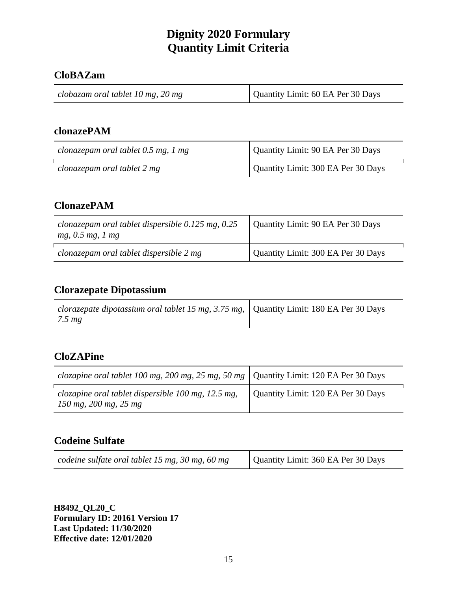### **CloBAZam**

#### **clonazePAM**

| clonazepam oral tablet $0.5$ mg, 1 mg | Quantity Limit: 90 EA Per 30 Days  |
|---------------------------------------|------------------------------------|
| clonazepam oral tablet 2 mg           | Quantity Limit: 300 EA Per 30 Days |

#### **ClonazePAM**

| clonazepam oral tablet dispersible $0.125$ mg, $0.25$<br>mg, 0.5 mg, 1 mg | Quantity Limit: 90 EA Per 30 Days  |
|---------------------------------------------------------------------------|------------------------------------|
| clonazepam oral tablet dispersible 2 mg                                   | Quantity Limit: 300 EA Per 30 Days |

# **Clorazepate Dipotassium**

| clorazepate dipotassium oral tablet 15 mg, 3.75 mg, Quantity Limit: 180 EA Per 30 Days |  |
|----------------------------------------------------------------------------------------|--|
| $7.5 \, mg$                                                                            |  |

## **CloZAPine**

| <i>clozapine oral tablet 100 mg, 200 mg, 25 mg, 50 mg</i>   Quantity Limit: 120 EA Per 30 Days |                                    |
|------------------------------------------------------------------------------------------------|------------------------------------|
| clozapine oral tablet dispersible $100$ mg, $12.5$ mg,<br>150 mg, 200 mg, 25 mg                | Quantity Limit: 120 EA Per 30 Days |

# **Codeine Sulfate**

| codeine sulfate oral tablet 15 mg, 30 mg, 60 mg | Quantity Limit: 360 EA Per 30 Days |
|-------------------------------------------------|------------------------------------|
|-------------------------------------------------|------------------------------------|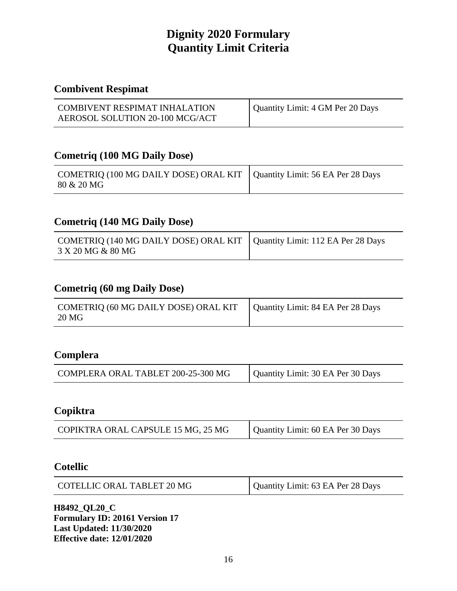# **Combivent Respimat**

| <b>COMBIVENT RESPIMAT INHALATION</b> | Quantity Limit: 4 GM Per 20 Days |
|--------------------------------------|----------------------------------|
| AEROSOL SOLUTION 20-100 MCG/ACT      |                                  |

### **Cometriq (100 MG Daily Dose)**

| COMETRIQ (100 MG DAILY DOSE) ORAL KIT   Quantity Limit: 56 EA Per 28 Days<br>80 & 20 MG |  |
|-----------------------------------------------------------------------------------------|--|
|-----------------------------------------------------------------------------------------|--|

### **Cometriq (140 MG Daily Dose)**

| COMETRIQ (140 MG DAILY DOSE) ORAL KIT   Quantity Limit: 112 EA Per 28 Days |  |
|----------------------------------------------------------------------------|--|
| 3 X 20 MG & 80 MG                                                          |  |

### **Cometriq (60 mg Daily Dose)**

| COMETRIQ (60 MG DAILY DOSE) ORAL KIT   Quantity Limit: 84 EA Per 28 Days<br>20 MG |  |
|-----------------------------------------------------------------------------------|--|
|-----------------------------------------------------------------------------------|--|

## **Complera**

| COMPLERA ORAL TABLET 200-25-300 MG | Quantity Limit: 30 EA Per 30 Days |
|------------------------------------|-----------------------------------|
|------------------------------------|-----------------------------------|

### **Copiktra**

|  | COPIKTRA ORAL CAPSULE 15 MG, 25 MG | Quantity Limit: 60 EA Per 30 Days |
|--|------------------------------------|-----------------------------------|
|--|------------------------------------|-----------------------------------|

#### **Cotellic**

| COTELLIC ORAL TABLET 20 MG | Quantity Limit: 63 EA Per 28 Days |
|----------------------------|-----------------------------------|
|----------------------------|-----------------------------------|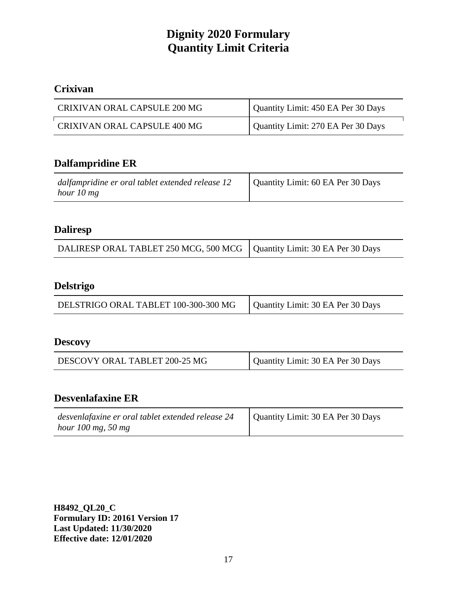# **Crixivan**

| CRIXIVAN ORAL CAPSULE 200 MG | Quantity Limit: 450 EA Per 30 Days |
|------------------------------|------------------------------------|
| CRIXIVAN ORAL CAPSULE 400 MG | Quantity Limit: 270 EA Per 30 Days |

## **Dalfampridine ER**

| dalfampridine er oral tablet extended release 12 | Quantity Limit: 60 EA Per 30 Days |
|--------------------------------------------------|-----------------------------------|
| hour 10 mg                                       |                                   |

### **Daliresp**

| DALIRESP ORAL TABLET 250 MCG, 500 MCG   Quantity Limit: 30 EA Per 30 Days |  |
|---------------------------------------------------------------------------|--|

### **Delstrigo**

| DELSTRIGO ORAL TABLET 100-300-300 MG | Quantity Limit: 30 EA Per 30 Days |
|--------------------------------------|-----------------------------------|
|--------------------------------------|-----------------------------------|

# **Descovy**

| DESCOVY ORAL TABLET 200-25 MG | Quantity Limit: 30 EA Per 30 Days |
|-------------------------------|-----------------------------------|
|-------------------------------|-----------------------------------|

# **Desvenlafaxine ER**

| desvenlafaxine er oral tablet extended release 24 | Quantity Limit: 30 EA Per 30 Days |
|---------------------------------------------------|-----------------------------------|
| hour 100 mg, 50 mg                                |                                   |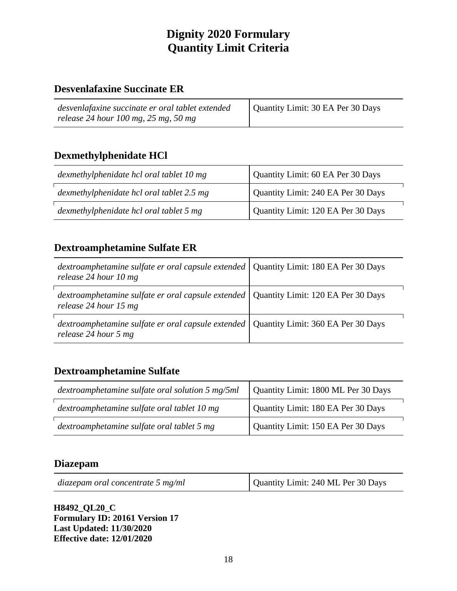## **Desvenlafaxine Succinate ER**

| desvenlafaxine succinate er oral tablet extended | Quantity Limit: 30 EA Per 30 Days |
|--------------------------------------------------|-----------------------------------|
| release 24 hour 100 mg, 25 mg, 50 mg             |                                   |

### **Dexmethylphenidate HCl**

| dexmethylphenidate hcl oral tablet 10 mg  | Quantity Limit: 60 EA Per 30 Days  |
|-------------------------------------------|------------------------------------|
| dexmethylphenidate hcl oral tablet 2.5 mg | Quantity Limit: 240 EA Per 30 Days |
| dexmethylphenidate hcl oral tablet 5 mg   | Quantity Limit: 120 EA Per 30 Days |

# **Dextroamphetamine Sulfate ER**

| dextroamphetamine sulfate er oral capsule extended   Quantity Limit: 180 EA Per 30 Days<br>release 24 hour 10 mg  |  |
|-------------------------------------------------------------------------------------------------------------------|--|
| dextroamphetamine sulfate er oral capsule extended   Quantity Limit: 120 EA Per 30 Days<br>release 24 hour 15 mg  |  |
| dextroamphetamine sulfate er oral capsule extended   Quantity Limit: 360 EA Per 30 Days<br>release 24 hour $5$ mg |  |

# **Dextroamphetamine Sulfate**

| dextroamphetamine sulfate oral solution 5 mg/5ml | Quantity Limit: 1800 ML Per 30 Days |
|--------------------------------------------------|-------------------------------------|
| dextroamphetamine sulfate oral tablet 10 mg      | Quantity Limit: 180 EA Per 30 Days  |
| dextroamphetamine sulfate oral tablet 5 mg       | Quantity Limit: 150 EA Per 30 Days  |

#### **Diazepam**

| Quantity Limit: 240 ML Per 30 Days<br>$di$ azepam oral concentrate 5 mg/ml |  |
|----------------------------------------------------------------------------|--|
|----------------------------------------------------------------------------|--|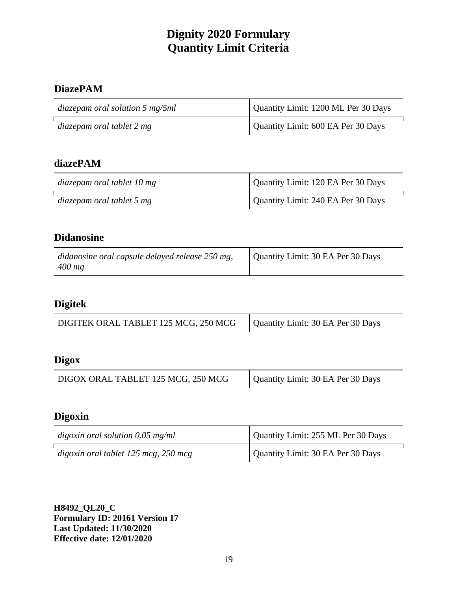## **DiazePAM**

| diazepam oral solution $5 \text{ mg}/5ml$ | Quantity Limit: 1200 ML Per 30 Days |
|-------------------------------------------|-------------------------------------|
| diazepam oral tablet 2 mg                 | Quantity Limit: 600 EA Per 30 Days  |

## **diazePAM**

| diazepam oral tablet 10 mg | Quantity Limit: 120 EA Per 30 Days |
|----------------------------|------------------------------------|
| diazepam oral tablet 5 mg  | Quantity Limit: 240 EA Per 30 Days |

## **Didanosine**

| didanosine oral capsule delayed release 250 mg, | Quantity Limit: 30 EA Per 30 Days |
|-------------------------------------------------|-----------------------------------|
| $400$ mg                                        |                                   |

# **Digitek**

| DIGITEK ORAL TABLET 125 MCG, 250 MCG | Quantity Limit: 30 EA Per 30 Days |
|--------------------------------------|-----------------------------------|
|--------------------------------------|-----------------------------------|

# **Digox**

| DIGOX ORAL TABLET 125 MCG, 250 MCG | Quantity Limit: 30 EA Per 30 Days |
|------------------------------------|-----------------------------------|
|------------------------------------|-----------------------------------|

# **Digoxin**

| digoxin oral solution $0.05$ mg/ml       | Quantity Limit: 255 ML Per 30 Days |
|------------------------------------------|------------------------------------|
| digoxin oral tablet $125$ mcg, $250$ mcg | Quantity Limit: 30 EA Per 30 Days  |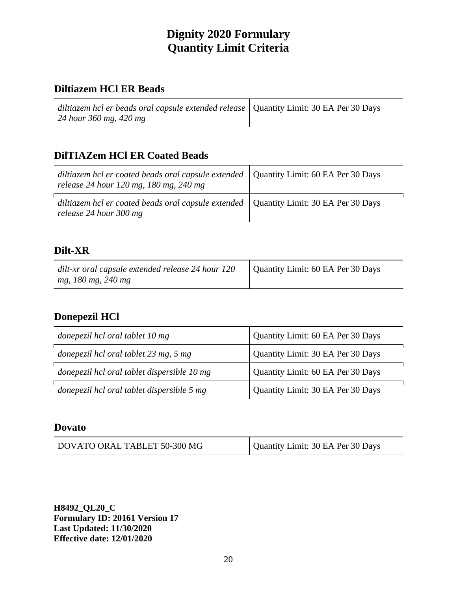### **Diltiazem HCl ER Beads**

| diltiazem hcl er beads oral capsule extended release   Quantity Limit: 30 EA Per 30 Days |  |
|------------------------------------------------------------------------------------------|--|
| 24 hour 360 mg, 420 mg                                                                   |  |

## **DilTIAZem HCl ER Coated Beads**

| diltiazem hcl er coated beads oral capsule extended   Quantity Limit: 60 EA Per 30 Days<br>release 24 hour 120 mg, 180 mg, 240 mg |  |
|-----------------------------------------------------------------------------------------------------------------------------------|--|
| diltiazem hcl er coated beads oral capsule extended   Quantity Limit: 30 EA Per 30 Days<br>release 24 hour 300 mg                 |  |

## **Dilt-XR**

| dilt-xr oral capsule extended release 24 hour $120$   Quantity Limit: 60 EA Per 30 Days |  |
|-----------------------------------------------------------------------------------------|--|
| mg, 180 mg, 240 mg                                                                      |  |

## **Donepezil HCl**

| donepezil hcl oral tablet 10 mg             | Quantity Limit: 60 EA Per 30 Days |
|---------------------------------------------|-----------------------------------|
| donepezil hcl oral tablet 23 mg, 5 mg       | Quantity Limit: 30 EA Per 30 Days |
| donepezil hcl oral tablet dispersible 10 mg | Quantity Limit: 60 EA Per 30 Days |
| donepezil hcl oral tablet dispersible 5 mg  | Quantity Limit: 30 EA Per 30 Days |

#### **Dovato**

| DOVATO ORAL TABLET 50-300 MG | Quantity Limit: 30 EA Per 30 Days |
|------------------------------|-----------------------------------|
|------------------------------|-----------------------------------|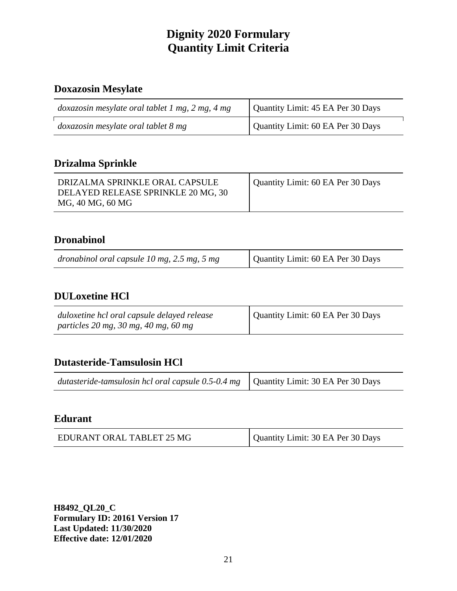# **Doxazosin Mesylate**

| $doxazosin$ mesylate oral tablet 1 mg, 2 mg, 4 mg | Quantity Limit: 45 EA Per 30 Days |
|---------------------------------------------------|-----------------------------------|
| doxazosin mesylate oral tablet 8 mg               | Quantity Limit: 60 EA Per 30 Days |

#### **Drizalma Sprinkle**

| DRIZALMA SPRINKLE ORAL CAPSULE<br>DELAYED RELEASE SPRINKLE 20 MG, 30<br>MG, 40 MG, 60 MG | Quantity Limit: 60 EA Per 30 Days |
|------------------------------------------------------------------------------------------|-----------------------------------|
|------------------------------------------------------------------------------------------|-----------------------------------|

## **Dronabinol**

| dronabinol oral capsule $10$ mg, $2.5$ mg, $5$ mg | Quantity Limit: 60 EA Per 30 Days |
|---------------------------------------------------|-----------------------------------|
|---------------------------------------------------|-----------------------------------|

### **DULoxetine HCl**

| duloxetine hcl oral capsule delayed release | Quantity Limit: 60 EA Per 30 Days |
|---------------------------------------------|-----------------------------------|
| particles 20 mg, 30 mg, 40 mg, 60 mg        |                                   |

## **Dutasteride-Tamsulosin HCl**

| <i>dutasteride-tamsulosin hcl oral capsule 0.5-0.4 mg</i> $\vert$ Quantity Limit: 30 EA Per 30 Days |  |
|-----------------------------------------------------------------------------------------------------|--|

#### **Edurant**

| EDURANT ORAL TABLET 25 MG | Quantity Limit: 30 EA Per 30 Days |
|---------------------------|-----------------------------------|
|                           |                                   |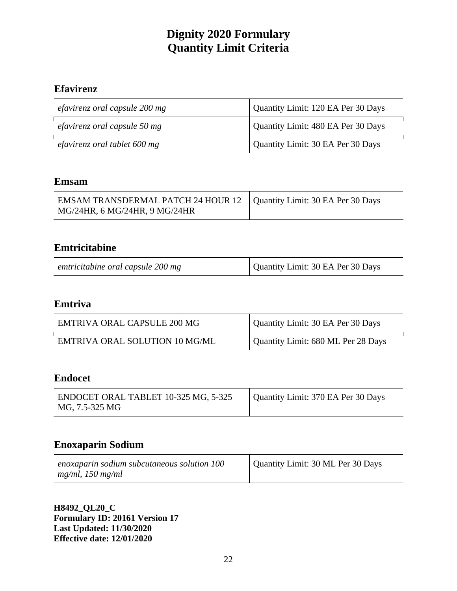# **Efavirenz**

| efavirenz oral capsule 200 mg | Quantity Limit: 120 EA Per 30 Days |
|-------------------------------|------------------------------------|
| efavirenz oral capsule 50 mg  | Quantity Limit: 480 EA Per 30 Days |
| efavirenz oral tablet 600 mg  | Quantity Limit: 30 EA Per 30 Days  |

#### **Emsam**

| EMSAM TRANSDERMAL PATCH 24 HOUR 12   Quantity Limit: 30 EA Per 30 Days |  |
|------------------------------------------------------------------------|--|
| MG/24HR, 6 MG/24HR, 9 MG/24HR                                          |  |

## **Emtricitabine**

| emtricitabine oral capsule 200 mg | Quantity Limit: 30 EA Per 30 Days |
|-----------------------------------|-----------------------------------|
|-----------------------------------|-----------------------------------|

### **Emtriva**

| EMTRIVA ORAL CAPSULE 200 MG    | Quantity Limit: 30 EA Per 30 Days  |
|--------------------------------|------------------------------------|
| EMTRIVA ORAL SOLUTION 10 MG/ML | Quantity Limit: 680 ML Per 28 Days |

### **Endocet**

# **Enoxaparin Sodium**

| enoxaparin sodium subcutaneous solution 100 | Quantity Limit: 30 ML Per 30 Days |
|---------------------------------------------|-----------------------------------|
| $mg/ml$ , 150 mg/ml                         |                                   |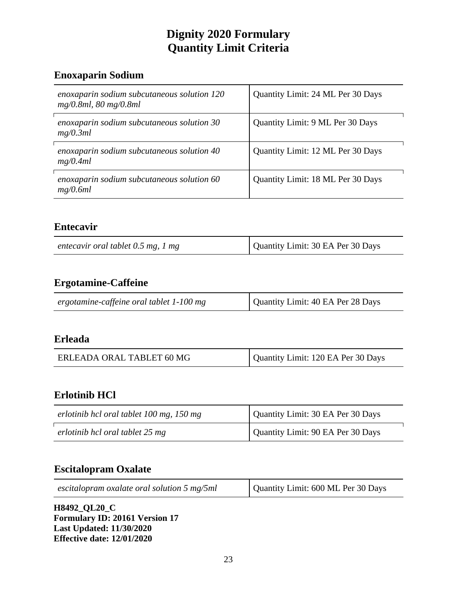### **Enoxaparin Sodium**

| enoxaparin sodium subcutaneous solution 120<br>$mg/0.8ml$ , 80 mg/0.8ml | Quantity Limit: 24 ML Per 30 Days |
|-------------------------------------------------------------------------|-----------------------------------|
| enoxaparin sodium subcutaneous solution 30<br>mg/0.3ml                  | Quantity Limit: 9 ML Per 30 Days  |
| enoxaparin sodium subcutaneous solution 40<br>mg/0.4ml                  | Quantity Limit: 12 ML Per 30 Days |
| enoxaparin sodium subcutaneous solution 60<br>mg/0.6ml                  | Quantity Limit: 18 ML Per 30 Days |

#### **Entecavir**

| entecavir oral tablet 0.5 mg, 1 mg | Quantity Limit: 30 EA Per 30 Days |
|------------------------------------|-----------------------------------|
|------------------------------------|-----------------------------------|

## **Ergotamine-Caffeine**

| Quantity Limit: 40 EA Per 28 Days<br>ergotamine-caffeine oral tablet 1-100 mg |
|-------------------------------------------------------------------------------|
|-------------------------------------------------------------------------------|

## **Erleada**

| ERLEADA ORAL TABLET 60 MG | Quantity Limit: 120 EA Per 30 Days |
|---------------------------|------------------------------------|
|---------------------------|------------------------------------|

#### **Erlotinib HCl**

| erlotinib hcl oral tablet 100 mg, 150 mg | Quantity Limit: 30 EA Per 30 Days |
|------------------------------------------|-----------------------------------|
| erlotinib hcl oral tablet 25 mg          | Quantity Limit: 90 EA Per 30 Days |

# **Escitalopram Oxalate**

| escitalopram oxalate oral solution 5 mg/5ml | Quantity Limit: 600 ML Per 30 Days |
|---------------------------------------------|------------------------------------|
|---------------------------------------------|------------------------------------|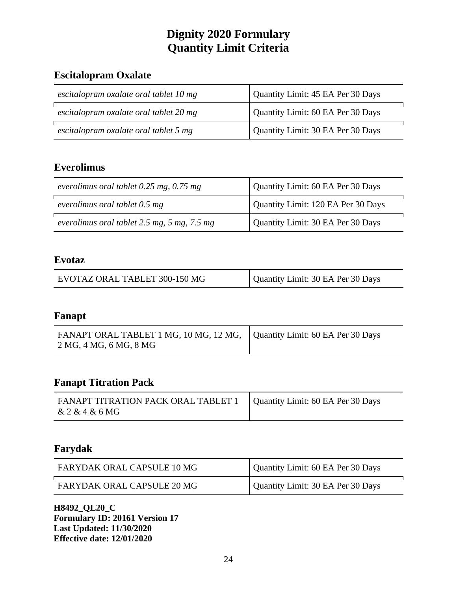#### **Escitalopram Oxalate**

| escitalopram oxalate oral tablet 10 mg | Quantity Limit: 45 EA Per 30 Days |
|----------------------------------------|-----------------------------------|
| escitalopram oxalate oral tablet 20 mg | Quantity Limit: 60 EA Per 30 Days |
| escitalopram oxalate oral tablet 5 mg  | Quantity Limit: 30 EA Per 30 Days |

# **Everolimus**

| everolimus oral tablet $0.25$ mg, $0.75$ mg       | Quantity Limit: 60 EA Per 30 Days  |
|---------------------------------------------------|------------------------------------|
| everolimus oral tablet 0.5 mg                     | Quantity Limit: 120 EA Per 30 Days |
| everolimus oral tablet $2.5$ mg, $5$ mg, $7.5$ mg | Quantity Limit: 30 EA Per 30 Days  |

#### **Evotaz**

| EVOTAZ ORAL TABLET 300-150 MG | Quantity Limit: 30 EA Per 30 Days |
|-------------------------------|-----------------------------------|
|-------------------------------|-----------------------------------|

#### **Fanapt**

| FANAPT ORAL TABLET 1 MG, 10 MG, 12 MG, Quantity Limit: 60 EA Per 30 Days |  |
|--------------------------------------------------------------------------|--|
| 2 MG, 4 MG, 6 MG, 8 MG                                                   |  |

#### **Fanapt Titration Pack**

| FANAPT TITRATION PACK ORAL TABLET 1   Quantity Limit: 60 EA Per 30 Days<br>& 2 & 4 & 6 MG |  |
|-------------------------------------------------------------------------------------------|--|
|-------------------------------------------------------------------------------------------|--|

### **Farydak**

| FARYDAK ORAL CAPSULE 10 MG | Quantity Limit: 60 EA Per 30 Days |
|----------------------------|-----------------------------------|
| FARYDAK ORAL CAPSULE 20 MG | Quantity Limit: 30 EA Per 30 Days |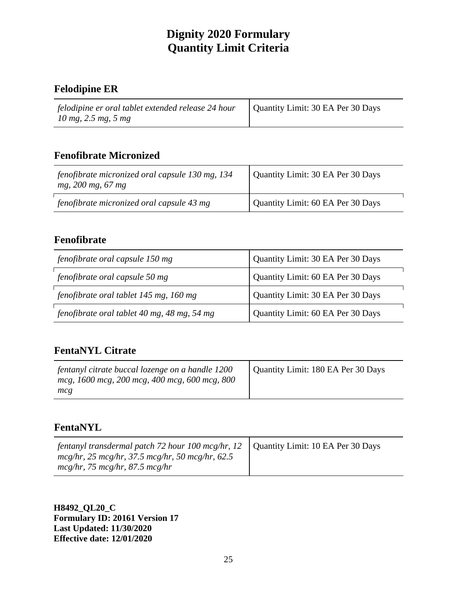# **Felodipine ER**

| felodipine er oral tablet extended release 24 hour   Quantity Limit: 30 EA Per 30 Days |  |
|----------------------------------------------------------------------------------------|--|
| $10 \, mg, 2.5 \, mg, 5 \, mg$                                                         |  |

## **Fenofibrate Micronized**

| fenofibrate micronized oral capsule 130 mg, 134<br>mg, 200 mg, 67 mg | Quantity Limit: 30 EA Per 30 Days |
|----------------------------------------------------------------------|-----------------------------------|
| fenofibrate micronized oral capsule 43 mg                            | Quantity Limit: 60 EA Per 30 Days |

### **Fenofibrate**

| fenofibrate oral capsule 150 mg             | Quantity Limit: 30 EA Per 30 Days |
|---------------------------------------------|-----------------------------------|
| fenofibrate oral capsule 50 mg              | Quantity Limit: 60 EA Per 30 Days |
| fenofibrate oral tablet 145 mg, 160 mg      | Quantity Limit: 30 EA Per 30 Days |
| fenofibrate oral tablet 40 mg, 48 mg, 54 mg | Quantity Limit: 60 EA Per 30 Days |

# **FentaNYL Citrate**

| fentanyl citrate buccal lozenge on a handle 1200<br>mcg, 1600 mcg, 200 mcg, 400 mcg, 600 mcg, 800<br>mcg | Quantity Limit: 180 EA Per 30 Days |
|----------------------------------------------------------------------------------------------------------|------------------------------------|
|----------------------------------------------------------------------------------------------------------|------------------------------------|

### **FentaNYL**

| <i>fentanyl transdermal patch 72 hour 100 mcg/hr, 12</i>   Quantity Limit: 10 EA Per 30 Days |  |
|----------------------------------------------------------------------------------------------|--|
| $mcg/hr$ , 25 mcg/hr, 37.5 mcg/hr, 50 mcg/hr, 62.5                                           |  |
| $mcg/hr$ , 75 mcg/hr, 87.5 mcg/hr                                                            |  |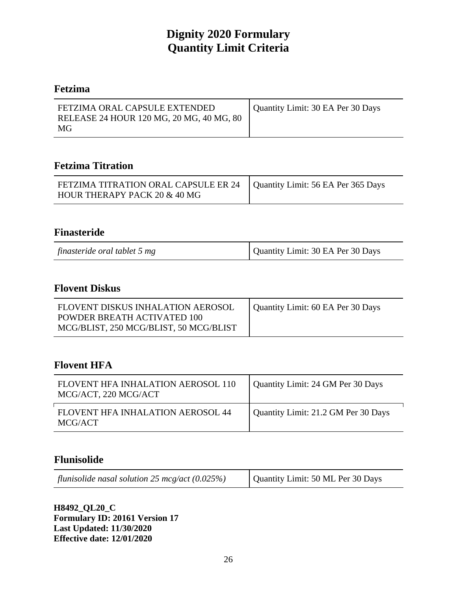### **Fetzima**

| FETZIMA ORAL CAPSULE EXTENDED            | Quantity Limit: 30 EA Per 30 Days |
|------------------------------------------|-----------------------------------|
| RELEASE 24 HOUR 120 MG, 20 MG, 40 MG, 80 |                                   |
| MG                                       |                                   |

### **Fetzima Titration**

| FETZIMA TITRATION ORAL CAPSULE ER 24   Quantity Limit: 56 EA Per 365 Days |  |
|---------------------------------------------------------------------------|--|
| HOUR THERAPY PACK 20 & 40 MG                                              |  |

# **Finasteride**

| finasteride oral tablet 5 mg | Quantity Limit: 30 EA Per 30 Days |
|------------------------------|-----------------------------------|
|------------------------------|-----------------------------------|

### **Flovent Diskus**

| FLOVENT DISKUS INHALATION AEROSOL      | Quantity Limit: 60 EA Per 30 Days |
|----------------------------------------|-----------------------------------|
| <b>POWDER BREATH ACTIVATED 100</b>     |                                   |
| MCG/BLIST, 250 MCG/BLIST, 50 MCG/BLIST |                                   |

## **Flovent HFA**

| FLOVENT HFA INHALATION AEROSOL 110<br>MCG/ACT, 220 MCG/ACT | Quantity Limit: 24 GM Per 30 Days   |
|------------------------------------------------------------|-------------------------------------|
| FLOVENT HFA INHALATION AEROSOL 44<br>MCG/ACT               | Quantity Limit: 21.2 GM Per 30 Days |

## **Flunisolide**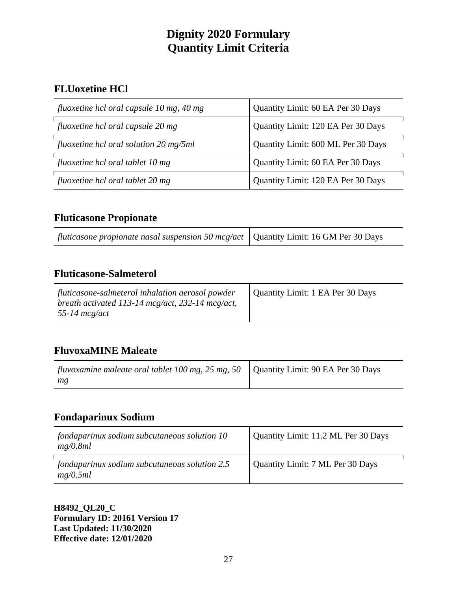# **FLUoxetine HCl**

| fluoxetine hcl oral capsule 10 mg, 40 mg | Quantity Limit: 60 EA Per 30 Days  |
|------------------------------------------|------------------------------------|
| fluoxetine hcl oral capsule 20 mg        | Quantity Limit: 120 EA Per 30 Days |
| fluoxetine hcl oral solution 20 mg/5ml   | Quantity Limit: 600 ML Per 30 Days |
| fluoxetine hcl oral tablet 10 mg         | Quantity Limit: 60 EA Per 30 Days  |
| fluoxetine hcl oral tablet 20 mg         | Quantity Limit: 120 EA Per 30 Days |

#### **Fluticasone Propionate**

|--|

## **Fluticasone-Salmeterol**

| fluticasone-salmeterol inhalation aerosol powder<br>breath activated 113-14 mcg/act, $232$ -14 mcg/act,<br>55-14 $mcg/act$ | Quantity Limit: 1 EA Per 30 Days |
|----------------------------------------------------------------------------------------------------------------------------|----------------------------------|
|----------------------------------------------------------------------------------------------------------------------------|----------------------------------|

# **FluvoxaMINE Maleate**

| <i>fluvoxamine maleate oral tablet 100 mg, 25 mg, 50</i>   Quantity Limit: 90 EA Per 30 Days |  |
|----------------------------------------------------------------------------------------------|--|
| mg                                                                                           |  |

# **Fondaparinux Sodium**

| fondaparinux sodium subcutaneous solution 10<br>mg/0.8ml  | Quantity Limit: 11.2 ML Per 30 Days |
|-----------------------------------------------------------|-------------------------------------|
| fondaparinux sodium subcutaneous solution 2.5<br>mg/0.5ml | Quantity Limit: 7 ML Per 30 Days    |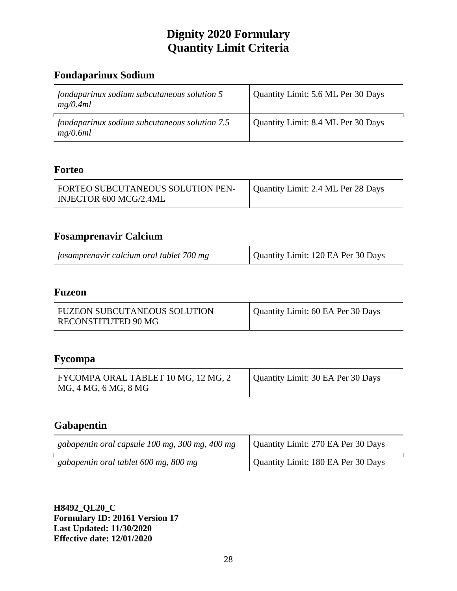### **Fondaparinux Sodium**

| fondaparinux sodium subcutaneous solution 5<br>mg/0.4ml   | Quantity Limit: 5.6 ML Per 30 Days |
|-----------------------------------------------------------|------------------------------------|
| fondaparinux sodium subcutaneous solution 7.5<br>mg/0.6ml | Quantity Limit: 8.4 ML Per 30 Days |

#### **Forteo**

| FORTEO SUBCUTANEOUS SOLUTION PEN- | Quantity Limit: 2.4 ML Per 28 Days |
|-----------------------------------|------------------------------------|
| INJECTOR 600 MCG/2.4ML            |                                    |

# **Fosamprenavir Calcium**

| fosamprenavir calcium oral tablet 700 mg | Quantity Limit: 120 EA Per 30 Days |
|------------------------------------------|------------------------------------|
|------------------------------------------|------------------------------------|

#### **Fuzeon**

| FUZEON SUBCUTANEOUS SOLUTION | Quantity Limit: 60 EA Per 30 Days |
|------------------------------|-----------------------------------|
| RECONSTITUTED 90 MG          |                                   |

# **Fycompa**

| FYCOMPA ORAL TABLET 10 MG, 12 MG, 2<br>MG, 4 MG, 6 MG, 8 MG | Quantity Limit: 30 EA Per 30 Days |
|-------------------------------------------------------------|-----------------------------------|
|-------------------------------------------------------------|-----------------------------------|

# **Gabapentin**

| gabapentin oral capsule 100 mg, 300 mg, 400 mg | Quantity Limit: 270 EA Per 30 Days |
|------------------------------------------------|------------------------------------|
| gabapentin oral tablet 600 mg, 800 mg          | Quantity Limit: 180 EA Per 30 Days |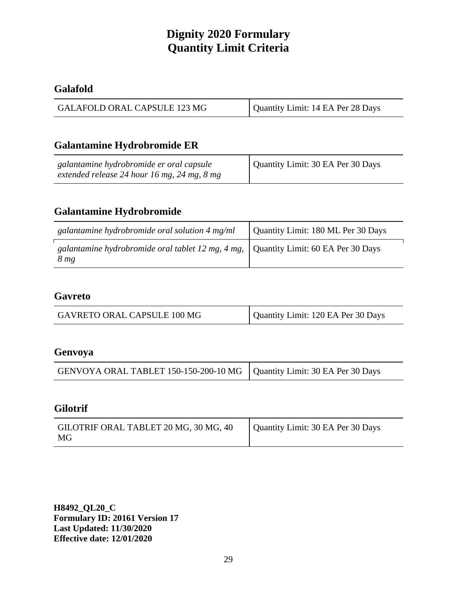## **Galafold**

| GALAFOLD ORAL CAPSULE 123 MG | Quantity Limit: 14 EA Per 28 Days |
|------------------------------|-----------------------------------|
|------------------------------|-----------------------------------|

### **Galantamine Hydrobromide ER**

| galantamine hydrobromide er oral capsule    | Quantity Limit: 30 EA Per 30 Days |
|---------------------------------------------|-----------------------------------|
| extended release 24 hour 16 mg, 24 mg, 8 mg |                                   |

# **Galantamine Hydrobromide**

| galantamine hydrobromide oral solution 4 mg/ml                                                         | Quantity Limit: 180 ML Per 30 Days |
|--------------------------------------------------------------------------------------------------------|------------------------------------|
| galantamine hydrobromide oral tablet 12 mg, 4 mg, Quantity Limit: 60 EA Per 30 Days<br>8 <sub>mg</sub> |                                    |

#### **Gavreto**

| GAVRETO ORAL CAPSULE 100 MG | Quantity Limit: 120 EA Per 30 Days |
|-----------------------------|------------------------------------|
|                             |                                    |

#### **Genvoya**

| GENVOYA ORAL TABLET 150-150-200-10 MG   Quantity Limit: 30 EA Per 30 Days |  |
|---------------------------------------------------------------------------|--|
|---------------------------------------------------------------------------|--|

### **Gilotrif**

| GILOTRIF ORAL TABLET 20 MG, 30 MG, 40<br>MG | Quantity Limit: 30 EA Per 30 Days |
|---------------------------------------------|-----------------------------------|
|---------------------------------------------|-----------------------------------|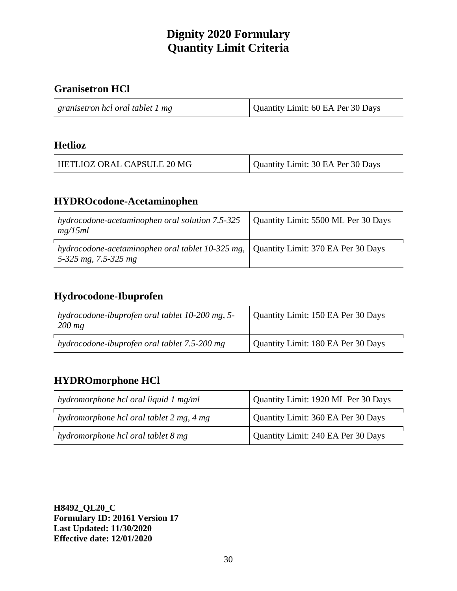# **Granisetron HCl**

### **Hetlioz**

| HETLIOZ ORAL CAPSULE 20 MG | Quantity Limit: 30 EA Per 30 Days |
|----------------------------|-----------------------------------|
|----------------------------|-----------------------------------|

# **HYDROcodone-Acetaminophen**

| hydrocodone-acetaminophen oral solution 7.5-325<br>mg/15ml                                                    | Quantity Limit: 5500 ML Per 30 Days |
|---------------------------------------------------------------------------------------------------------------|-------------------------------------|
| hydrocodone-acetaminophen oral tablet 10-325 mg,   Quantity Limit: 370 EA Per 30 Days<br>5-325 mg, 7.5-325 mg |                                     |

# **Hydrocodone-Ibuprofen**

| hydrocodone-ibuprofen oral tablet 10-200 mg, 5-<br>$200$ mg | Quantity Limit: 150 EA Per 30 Days |
|-------------------------------------------------------------|------------------------------------|
| hydrocodone-ibuprofen oral tablet 7.5-200 mg                | Quantity Limit: 180 EA Per 30 Days |

# **HYDROmorphone HCl**

| hydromorphone hcl oral liquid 1 mg/ml    | Quantity Limit: 1920 ML Per 30 Days |
|------------------------------------------|-------------------------------------|
| hydromorphone hcl oral tablet 2 mg, 4 mg | Quantity Limit: 360 EA Per 30 Days  |
| hydromorphone hcl oral tablet 8 mg       | Quantity Limit: 240 EA Per 30 Days  |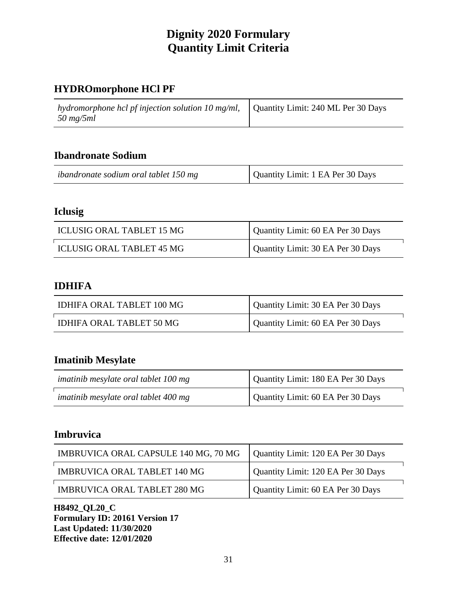# **HYDROmorphone HCl PF**

| hydromorphone hcl pf injection solution 10 mg/ml, $\vert$ Quantity Limit: 240 ML Per 30 Days<br>$50 \, mg/5ml$ |  |
|----------------------------------------------------------------------------------------------------------------|--|
|                                                                                                                |  |

## **Ibandronate Sodium**

| ibandronate sodium oral tablet 150 mg | Quantity Limit: 1 EA Per 30 Days |
|---------------------------------------|----------------------------------|
|---------------------------------------|----------------------------------|

# **Iclusig**

| ICLUSIG ORAL TABLET 15 MG | Quantity Limit: 60 EA Per 30 Days |
|---------------------------|-----------------------------------|
| ICLUSIG ORAL TABLET 45 MG | Quantity Limit: 30 EA Per 30 Days |

## **IDHIFA**

| IDHIFA ORAL TABLET 100 MG | Quantity Limit: 30 EA Per 30 Days |
|---------------------------|-----------------------------------|
| IDHIFA ORAL TABLET 50 MG  | Quantity Limit: 60 EA Per 30 Days |

# **Imatinib Mesylate**

| imatinib mesylate oral tablet 100 mg | Quantity Limit: 180 EA Per 30 Days |
|--------------------------------------|------------------------------------|
| imatinib mesylate oral tablet 400 mg | Quantity Limit: 60 EA Per 30 Days  |

## **Imbruvica**

| IMBRUVICA ORAL CAPSULE 140 MG, 70 MG | Quantity Limit: 120 EA Per 30 Days |
|--------------------------------------|------------------------------------|
| <b>IMBRUVICA ORAL TABLET 140 MG</b>  | Quantity Limit: 120 EA Per 30 Days |
| <b>IMBRUVICA ORAL TABLET 280 MG</b>  | Quantity Limit: 60 EA Per 30 Days  |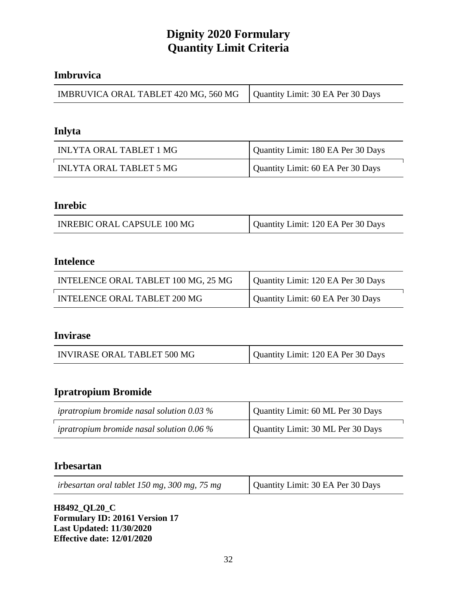### **Imbruvica**

| IMBRUVICA ORAL TABLET 420 MG, 560 MG   Quantity Limit: 30 EA Per 30 Days |  |
|--------------------------------------------------------------------------|--|
|--------------------------------------------------------------------------|--|

#### **Inlyta**

| INLYTA ORAL TABLET 1 MG | Quantity Limit: 180 EA Per 30 Days |
|-------------------------|------------------------------------|
| INLYTA ORAL TABLET 5 MG | Quantity Limit: 60 EA Per 30 Days  |

#### **Inrebic**

| INREBIC ORAL CAPSULE 100 MG | Quantity Limit: 120 EA Per 30 Days |
|-----------------------------|------------------------------------|

## **Intelence**

| INTELENCE ORAL TABLET 100 MG, 25 MG | Quantity Limit: 120 EA Per 30 Days |
|-------------------------------------|------------------------------------|
| <b>INTELENCE ORAL TABLET 200 MG</b> | Quantity Limit: 60 EA Per 30 Days  |

#### **Invirase**

| INVIRASE ORAL TABLET 500 MG | Quantity Limit: 120 EA Per 30 Days |
|-----------------------------|------------------------------------|
|-----------------------------|------------------------------------|

# **Ipratropium Bromide**

| ipratropium bromide nasal solution $0.03\%$ | Quantity Limit: 60 ML Per 30 Days |
|---------------------------------------------|-----------------------------------|
| ipratropium bromide nasal solution $0.06\%$ | Quantity Limit: 30 ML Per 30 Days |

#### **Irbesartan**

| irbesartan oral tablet 150 mg, 300 mg, 75 mg | Quantity Limit: 30 EA Per 30 Days |
|----------------------------------------------|-----------------------------------|
|----------------------------------------------|-----------------------------------|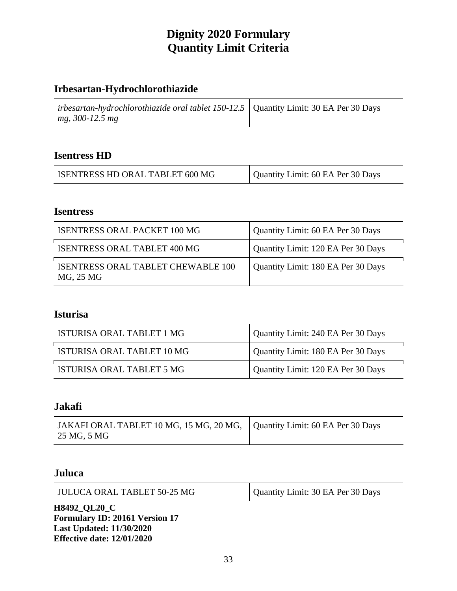# **Irbesartan-Hydrochlorothiazide**

| irbesartan-hydrochlorothiazide oral tablet 150-12.5   Quantity Limit: 30 EA Per 30 Days |  |
|-----------------------------------------------------------------------------------------|--|
| mg, 300-12.5 mg                                                                         |  |

#### **Isentress HD**

| ISENTRESS HD ORAL TABLET 600 MG | Quantity Limit: 60 EA Per 30 Days |
|---------------------------------|-----------------------------------|
|---------------------------------|-----------------------------------|

#### **Isentress**

| <b>ISENTRESS ORAL PACKET 100 MG</b>             | Quantity Limit: 60 EA Per 30 Days  |
|-------------------------------------------------|------------------------------------|
| ISENTRESS ORAL TABLET 400 MG                    | Quantity Limit: 120 EA Per 30 Days |
| ISENTRESS ORAL TABLET CHEWABLE 100<br>MG, 25 MG | Quantity Limit: 180 EA Per 30 Days |

### **Isturisa**

| ISTURISA ORAL TABLET 1 MG  | Quantity Limit: 240 EA Per 30 Days |
|----------------------------|------------------------------------|
| ISTURISA ORAL TABLET 10 MG | Quantity Limit: 180 EA Per 30 Days |
| ISTURISA ORAL TABLET 5 MG  | Quantity Limit: 120 EA Per 30 Days |

#### **Jakafi**

| JAKAFI ORAL TABLET 10 MG, 15 MG, 20 MG, Quantity Limit: 60 EA Per 30 Days<br>25 MG, 5 MG |  |
|------------------------------------------------------------------------------------------|--|
|------------------------------------------------------------------------------------------|--|

#### **Juluca**

| <b>JULUCA ORAL TABLET 50-25 MG</b> | Quantity Limit: 30 EA Per 30 Days |
|------------------------------------|-----------------------------------|
|------------------------------------|-----------------------------------|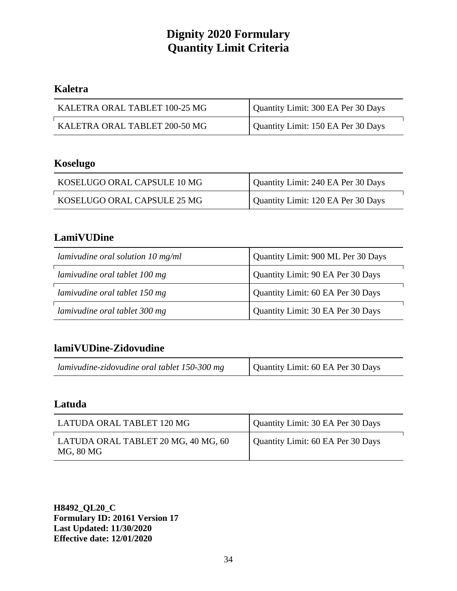## **Kaletra**

| KALETRA ORAL TABLET 100-25 MG | Quantity Limit: 300 EA Per 30 Days |
|-------------------------------|------------------------------------|
| KALETRA ORAL TABLET 200-50 MG | Quantity Limit: 150 EA Per 30 Days |

### **Koselugo**

| KOSELUGO ORAL CAPSULE 10 MG | Quantity Limit: 240 EA Per 30 Days |
|-----------------------------|------------------------------------|
| KOSELUGO ORAL CAPSULE 25 MG | Quantity Limit: 120 EA Per 30 Days |

### **LamiVUDine**

| lamivudine oral solution $10 \text{ mg/ml}$ | Quantity Limit: 900 ML Per 30 Days |
|---------------------------------------------|------------------------------------|
| lamivudine oral tablet 100 mg               | Quantity Limit: 90 EA Per 30 Days  |
| lamivudine oral tablet 150 mg               | Quantity Limit: 60 EA Per 30 Days  |
| lamivudine oral tablet 300 mg               | Quantity Limit: 30 EA Per 30 Days  |

# **lamiVUDine-Zidovudine**

| lamivudine-zidovudine oral tablet 150-300 mg | Quantity Limit: 60 EA Per 30 Days |
|----------------------------------------------|-----------------------------------|
|----------------------------------------------|-----------------------------------|

# **Latuda**

| LATUDA ORAL TABLET 120 MG                        | Quantity Limit: 30 EA Per 30 Days |
|--------------------------------------------------|-----------------------------------|
| LATUDA ORAL TABLET 20 MG, 40 MG, 60<br>MG, 80 MG | Quantity Limit: 60 EA Per 30 Days |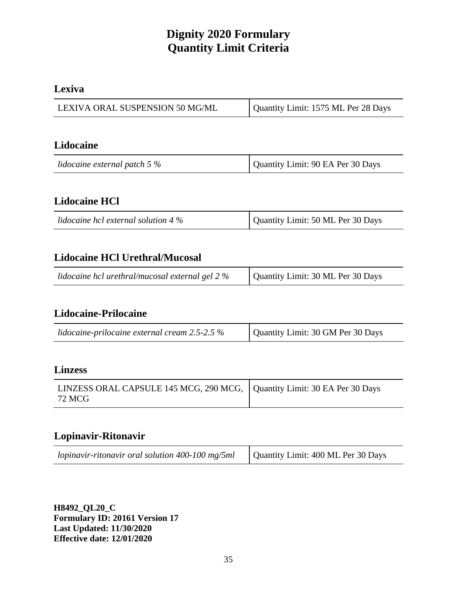### **Lexiva**

| LEXIVA ORAL SUSPENSION 50 MG/ML | Quantity Limit: 1575 ML Per 28 Days |
|---------------------------------|-------------------------------------|

### **Lidocaine**

| lidocaine external patch 5 $\%$ | Quantity Limit: 90 EA Per 30 Days |
|---------------------------------|-----------------------------------|

### **Lidocaine HCl**

| lidocaine hcl external solution $4\%$ | Quantity Limit: 50 ML Per 30 Days |
|---------------------------------------|-----------------------------------|
|---------------------------------------|-----------------------------------|

# **Lidocaine HCl Urethral/Mucosal**

| lidocaine hcl urethral/mucosal external gel $2\%$ | Quantity Limit: 30 ML Per 30 Days |
|---------------------------------------------------|-----------------------------------|
|---------------------------------------------------|-----------------------------------|

### **Lidocaine-Prilocaine**

| lidocaine-prilocaine external cream $2.5$ - $2.5\%$ | Quantity Limit: 30 GM Per 30 Days |
|-----------------------------------------------------|-----------------------------------|
|-----------------------------------------------------|-----------------------------------|

#### **Linzess**

| LINZESS ORAL CAPSULE 145 MCG, 290 MCG,   Quantity Limit: 30 EA Per 30 Days |  |
|----------------------------------------------------------------------------|--|
| 72 MCG                                                                     |  |

### **Lopinavir-Ritonavir**

| <i>lopinavir-ritonavir oral solution 400-100 mg/5ml</i> $\vert$ Quantity Limit: 400 ML Per 30 Days |  |
|----------------------------------------------------------------------------------------------------|--|
|----------------------------------------------------------------------------------------------------|--|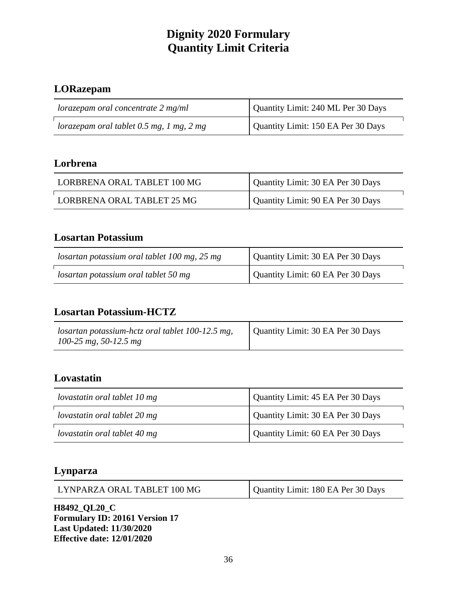# **LORazepam**

| $\alpha$ lorazepam oral concentrate 2 mg/ml | Quantity Limit: 240 ML Per 30 Days |
|---------------------------------------------|------------------------------------|
| lorazepam oral tablet $0.5$ mg, 1 mg, 2 mg  | Quantity Limit: 150 EA Per 30 Days |

#### **Lorbrena**

| LORBRENA ORAL TABLET 100 MG | Quantity Limit: 30 EA Per 30 Days |
|-----------------------------|-----------------------------------|
| LORBRENA ORAL TABLET 25 MG  | Quantity Limit: 90 EA Per 30 Days |

### **Losartan Potassium**

| losartan potassium oral tablet $100$ mg, $25$ mg | Quantity Limit: 30 EA Per 30 Days |
|--------------------------------------------------|-----------------------------------|
| losartan potassium oral tablet 50 mg             | Quantity Limit: 60 EA Per 30 Days |

## **Losartan Potassium-HCTZ**

| losartan potassium-hctz oral tablet $100-12.5$ mg,<br>$100-25$ mg, 50-12.5 mg | Quantity Limit: 30 EA Per 30 Days |
|-------------------------------------------------------------------------------|-----------------------------------|
|-------------------------------------------------------------------------------|-----------------------------------|

### **Lovastatin**

| lovastatin oral tablet 10 mg | Quantity Limit: 45 EA Per 30 Days |
|------------------------------|-----------------------------------|
| lovastatin oral tablet 20 mg | Quantity Limit: 30 EA Per 30 Days |
| lovastatin oral tablet 40 mg | Quantity Limit: 60 EA Per 30 Days |

### **Lynparza**

| LYNPARZA ORAL TABLET 100 MG | Quantity Limit: 180 EA Per 30 Days |
|-----------------------------|------------------------------------|
|-----------------------------|------------------------------------|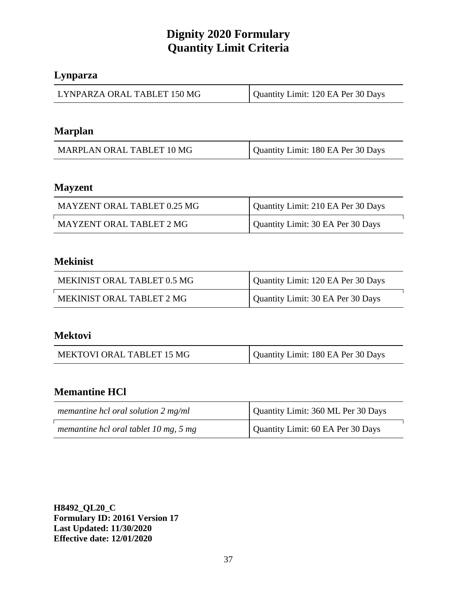### **Lynparza**

| LYNPARZA ORAL TABLET 150 MG | Quantity Limit: 120 EA Per 30 Days |
|-----------------------------|------------------------------------|

#### **Marplan**

| MARPLAN ORAL TABLET 10 MG | Quantity Limit: 180 EA Per 30 Days |
|---------------------------|------------------------------------|

#### **Mayzent**

| MAYZENT ORAL TABLET 0.25 MG | Quantity Limit: 210 EA Per 30 Days |
|-----------------------------|------------------------------------|
| MAYZENT ORAL TABLET 2 MG    | Quantity Limit: 30 EA Per 30 Days  |

### **Mekinist**

| MEKINIST ORAL TABLET 0.5 MG | Quantity Limit: 120 EA Per 30 Days |
|-----------------------------|------------------------------------|
| MEKINIST ORAL TABLET 2 MG   | Quantity Limit: 30 EA Per 30 Days  |

### **Mektovi**

| MEKTOVI ORAL TABLET 15 MG | Quantity Limit: 180 EA Per 30 Days |
|---------------------------|------------------------------------|
|---------------------------|------------------------------------|

### **Memantine HCl**

| memantine hcl oral solution $2 \text{ mg/ml}$ | Quantity Limit: 360 ML Per 30 Days |
|-----------------------------------------------|------------------------------------|
| memantine hcl oral tablet 10 mg, 5 mg         | Quantity Limit: 60 EA Per 30 Days  |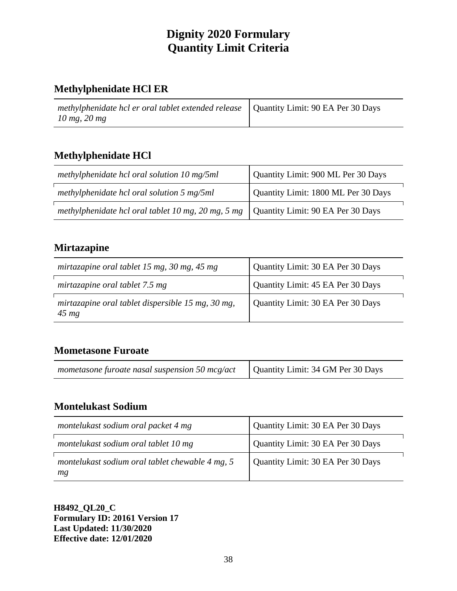# **Methylphenidate HCl ER**

| methylphenidate hcl er oral tablet extended release   Quantity Limit: 90 EA Per 30 Days |  |
|-----------------------------------------------------------------------------------------|--|
| $10 \text{ mg}, 20 \text{ mg}$                                                          |  |

# **Methylphenidate HCl**

| methylphenidate hcl oral solution 10 mg/5ml                                                  | Quantity Limit: 900 ML Per 30 Days  |
|----------------------------------------------------------------------------------------------|-------------------------------------|
| methylphenidate hcl oral solution 5 mg/5ml                                                   | Quantity Limit: 1800 ML Per 30 Days |
| methylphenidate hcl oral tablet 10 mg, 20 mg, 5 mg $\vert$ Quantity Limit: 90 EA Per 30 Days |                                     |

# **Mirtazapine**

| mirtazapine oral tablet 15 mg, 30 mg, 45 mg                     | Quantity Limit: 30 EA Per 30 Days |
|-----------------------------------------------------------------|-----------------------------------|
| mirtazapine oral tablet 7.5 mg                                  | Quantity Limit: 45 EA Per 30 Days |
| mirtazapine oral tablet dispersible 15 mg, 30 mg,<br>$45 \, mg$ | Quantity Limit: 30 EA Per 30 Days |

# **Mometasone Furoate**

| mometasone furoate nasal suspension 50 mcg/act | Quantity Limit: 34 GM Per 30 Days |
|------------------------------------------------|-----------------------------------|
|------------------------------------------------|-----------------------------------|

### **Montelukast Sodium**

| montelukast sodium oral packet 4 mg                   | Quantity Limit: 30 EA Per 30 Days |
|-------------------------------------------------------|-----------------------------------|
| montelukast sodium oral tablet 10 mg                  | Quantity Limit: 30 EA Per 30 Days |
| montelukast sodium oral tablet chewable 4 mg, 5<br>mg | Quantity Limit: 30 EA Per 30 Days |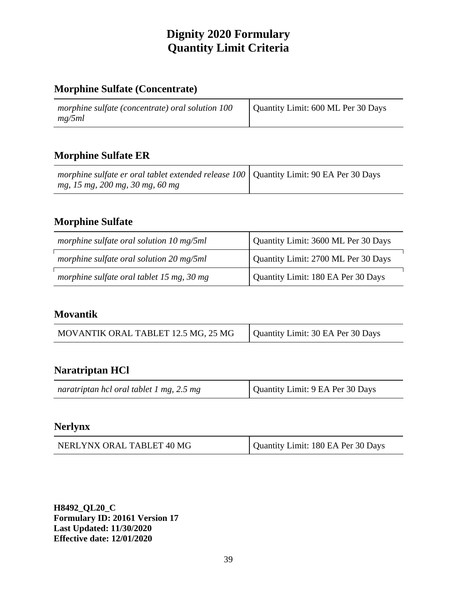# **Morphine Sulfate (Concentrate)**

| morphine sulfate (concentrate) oral solution 100 | Quantity Limit: 600 ML Per 30 Days |
|--------------------------------------------------|------------------------------------|
| mg/5ml                                           |                                    |

### **Morphine Sulfate ER**

| morphine sulfate er oral tablet extended release 100   Quantity Limit: 90 EA Per 30 Days |  |
|------------------------------------------------------------------------------------------|--|
| mg, 15 mg, 200 mg, 30 mg, 60 mg                                                          |  |

### **Morphine Sulfate**

| morphine sulfate oral solution 10 mg/5ml  | Quantity Limit: 3600 ML Per 30 Days |
|-------------------------------------------|-------------------------------------|
| morphine sulfate oral solution 20 mg/5ml  | Quantity Limit: 2700 ML Per 30 Days |
| morphine sulfate oral tablet 15 mg, 30 mg | Quantity Limit: 180 EA Per 30 Days  |

#### **Movantik**

| Quantity Limit: 30 EA Per 30 Days<br>MOVANTIK ORAL TABLET 12.5 MG, 25 MG |  |
|--------------------------------------------------------------------------|--|
|--------------------------------------------------------------------------|--|

### **Naratriptan HCl**

| naratriptan hcl oral tablet 1 mg, 2.5 mg | Quantity Limit: 9 EA Per 30 Days |
|------------------------------------------|----------------------------------|
|------------------------------------------|----------------------------------|

#### **Nerlynx**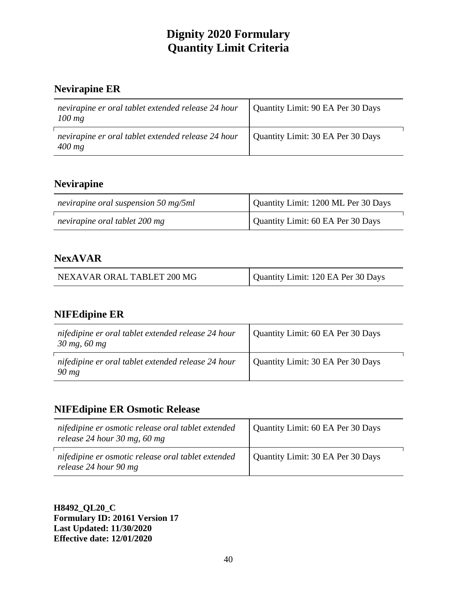# **Nevirapine ER**

| nevirapine er oral tablet extended release 24 hour<br>$100$ mg | Quantity Limit: 90 EA Per 30 Days |
|----------------------------------------------------------------|-----------------------------------|
| nevirapine er oral tablet extended release 24 hour<br>$400$ mg | Quantity Limit: 30 EA Per 30 Days |

### **Nevirapine**

| nevirapine oral suspension 50 mg/5ml | Quantity Limit: 1200 ML Per 30 Days |
|--------------------------------------|-------------------------------------|
| nevirapine oral tablet 200 mg        | Quantity Limit: 60 EA Per 30 Days   |

### **NexAVAR**

| NEXAVAR ORAL TABLET 200 MG | Quantity Limit: 120 EA Per 30 Days |
|----------------------------|------------------------------------|
|----------------------------|------------------------------------|

# **NIFEdipine ER**

| nifedipine er oral tablet extended release 24 hour<br>$30 \text{ mg}$ , 60 mg | Quantity Limit: 60 EA Per 30 Days |
|-------------------------------------------------------------------------------|-----------------------------------|
| nifedipine er oral tablet extended release 24 hour<br>$90$ mg                 | Quantity Limit: 30 EA Per 30 Days |

# **NIFEdipine ER Osmotic Release**

| nifedipine er osmotic release oral tablet extended<br>release 24 hour 30 mg, 60 mg | Quantity Limit: 60 EA Per 30 Days |
|------------------------------------------------------------------------------------|-----------------------------------|
| nifedipine er osmotic release oral tablet extended<br>release 24 hour 90 mg        | Quantity Limit: 30 EA Per 30 Days |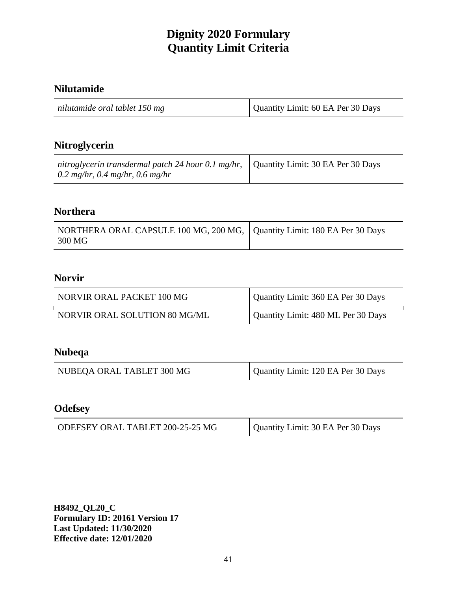### **Nilutamide**

| nilutamide oral tablet 150 mg | Quantity Limit: 60 EA Per 30 Days |
|-------------------------------|-----------------------------------|
|-------------------------------|-----------------------------------|

# **Nitroglycerin**

| nitroglycerin transdermal patch 24 hour 0.1 mg/hr, $\vert$ Quantity Limit: 30 EA Per 30 Days |  |
|----------------------------------------------------------------------------------------------|--|
| 0.2 mg/hr, 0.4 mg/hr, 0.6 mg/hr                                                              |  |

### **Northera**

| NORTHERA ORAL CAPSULE 100 MG, 200 MG,   Quantity Limit: 180 EA Per 30 Days<br>300 MG |  |
|--------------------------------------------------------------------------------------|--|
|--------------------------------------------------------------------------------------|--|

# **Norvir**

| NORVIR ORAL PACKET 100 MG     | Quantity Limit: 360 EA Per 30 Days |
|-------------------------------|------------------------------------|
| NORVIR ORAL SOLUTION 80 MG/ML | Quantity Limit: 480 ML Per 30 Days |

### **Nubeqa**

| NUBEQA ORAL TABLET 300 MG | Quantity Limit: 120 EA Per 30 Days |
|---------------------------|------------------------------------|
|---------------------------|------------------------------------|

# **Odefsey**

| ODEFSEY ORAL TABLET 200-25-25 MG | Quantity Limit: 30 EA Per 30 Days |
|----------------------------------|-----------------------------------|
|----------------------------------|-----------------------------------|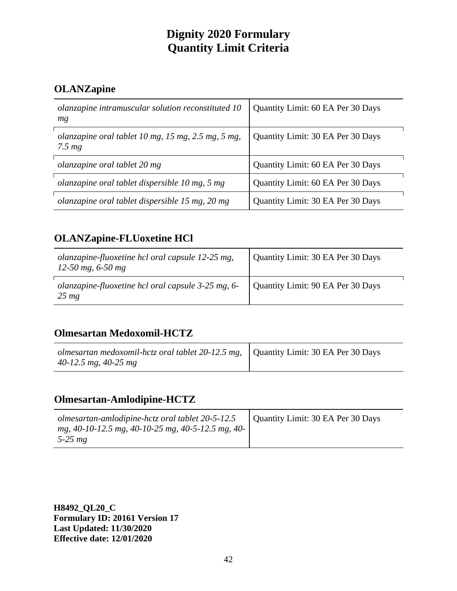# **OLANZapine**

| olanzapine intramuscular solution reconstituted 10<br>mg          | Quantity Limit: 60 EA Per 30 Days |
|-------------------------------------------------------------------|-----------------------------------|
| olanzapine oral tablet 10 mg, 15 mg, 2.5 mg, 5 mg,<br>$7.5 \, mg$ | Quantity Limit: 30 EA Per 30 Days |
| olanzapine oral tablet 20 mg                                      | Quantity Limit: 60 EA Per 30 Days |
| olanzapine oral tablet dispersible 10 mg, 5 mg                    | Quantity Limit: 60 EA Per 30 Days |
| olanzapine oral tablet dispersible 15 mg, 20 mg                   | Quantity Limit: 30 EA Per 30 Days |

### **OLANZapine-FLUoxetine HCl**

| olanzapine-fluoxetine hcl oral capsule 12-25 mg,<br>$12-50$ mg, 6-50 mg | Quantity Limit: 30 EA Per 30 Days |
|-------------------------------------------------------------------------|-----------------------------------|
| olanzapine-fluoxetine hcl oral capsule 3-25 mg, 6-<br>$25 \, mg$        | Quantity Limit: 90 EA Per 30 Days |

# **Olmesartan Medoxomil-HCTZ**

| olmesartan medoxomil-hctz oral tablet 20-12.5 mg, Quantity Limit: 30 EA Per 30 Days<br>$40-12.5$ mg, $40-25$ mg |  |
|-----------------------------------------------------------------------------------------------------------------|--|
|-----------------------------------------------------------------------------------------------------------------|--|

### **Olmesartan-Amlodipine-HCTZ**

| olmesartan-amlodipine-hctz oral tablet 20-5-12.5               | Quantity Limit: 30 EA Per 30 Days |
|----------------------------------------------------------------|-----------------------------------|
| mg, 40-10-12.5 mg, 40-10-25 mg, 40-5-12.5 mg, 40-<br>5-25 $mg$ |                                   |
|                                                                |                                   |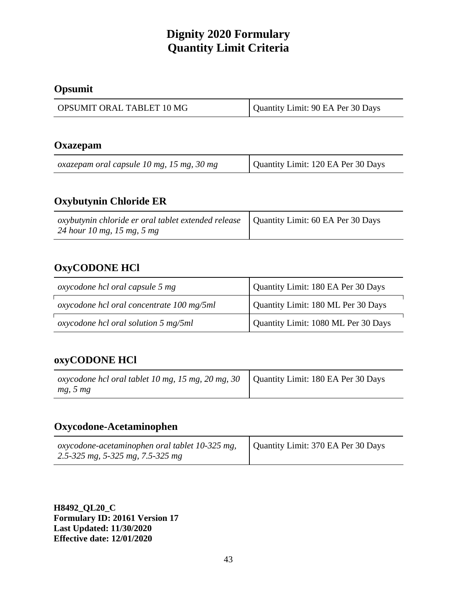# **Opsumit**

| OPSUMIT ORAL TABLET 10 MG | Quantity Limit: 90 EA Per 30 Days |
|---------------------------|-----------------------------------|
|---------------------------|-----------------------------------|

#### **Oxazepam**

| oxazepam oral capsule 10 mg, 15 mg, 30 mg | Quantity Limit: 120 EA Per 30 Days |
|-------------------------------------------|------------------------------------|
|-------------------------------------------|------------------------------------|

### **Oxybutynin Chloride ER**

| oxybutynin chloride er oral tablet extended release $\Box$ Quantity Limit: 60 EA Per 30 Days |  |
|----------------------------------------------------------------------------------------------|--|
| 24 hour 10 mg, 15 mg, 5 mg                                                                   |  |

# **OxyCODONE HCl**

| oxycodone hcl oral capsule 5 mg           | Quantity Limit: 180 EA Per 30 Days  |
|-------------------------------------------|-------------------------------------|
| oxycodone hcl oral concentrate 100 mg/5ml | Quantity Limit: 180 ML Per 30 Days  |
| oxycodone hcl oral solution 5 mg/5ml      | Quantity Limit: 1080 ML Per 30 Days |

# **oxyCODONE HCl**

| oxycodone hcl oral tablet 10 mg, 15 mg, 20 mg, 30 $\vert$ Quantity Limit: 180 EA Per 30 Days |  |
|----------------------------------------------------------------------------------------------|--|
| mg, 5 mg                                                                                     |  |

### **Oxycodone-Acetaminophen**

| oxycodone-acetaminophen oral tablet 10-325 mg,<br>2.5-325 mg, 5-325 mg, 7.5-325 mg | Quantity Limit: 370 EA Per 30 Days |
|------------------------------------------------------------------------------------|------------------------------------|
|------------------------------------------------------------------------------------|------------------------------------|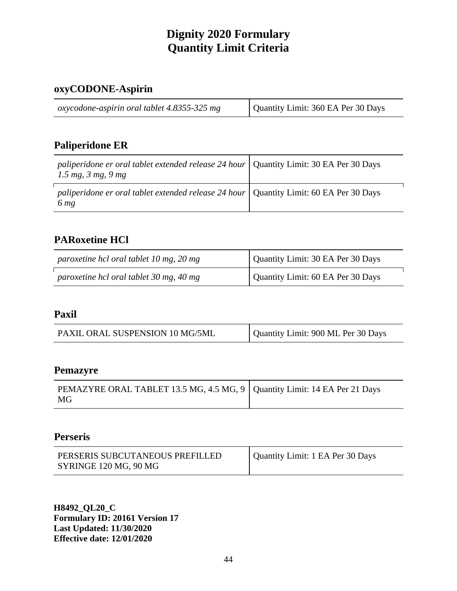# **oxyCODONE-Aspirin**

| oxycodone-aspirin oral tablet 4.8355-325 mg | Quantity Limit: 360 EA Per 30 Days |
|---------------------------------------------|------------------------------------|
|---------------------------------------------|------------------------------------|

# **Paliperidone ER**

| paliperidone er oral tablet extended release 24 hour   Quantity Limit: 30 EA Per 30 Days<br>$1.5 \, mg, \, 3 \, mg, \, 9 \, mg$ |  |
|---------------------------------------------------------------------------------------------------------------------------------|--|
| paliperidone er oral tablet extended release 24 hour   Quantity Limit: 60 EA Per 30 Days<br>6 <sub>mg</sub>                     |  |

# **PARoxetine HCl**

| paroxetine hcl oral tablet 10 mg, 20 mg | Quantity Limit: 30 EA Per 30 Days |
|-----------------------------------------|-----------------------------------|
| paroxetine hcl oral tablet 30 mg, 40 mg | Quantity Limit: 60 EA Per 30 Days |

### **Paxil**

|--|

#### **Pemazyre**

| PEMAZYRE ORAL TABLET 13.5 MG, 4.5 MG, 9   Quantity Limit: 14 EA Per 21 Days |  |
|-----------------------------------------------------------------------------|--|
| MG                                                                          |  |

### **Perseris**

| PERSERIS SUBCUTANEOUS PREFILLED | Quantity Limit: 1 EA Per 30 Days |
|---------------------------------|----------------------------------|
| SYRINGE 120 MG, 90 MG           |                                  |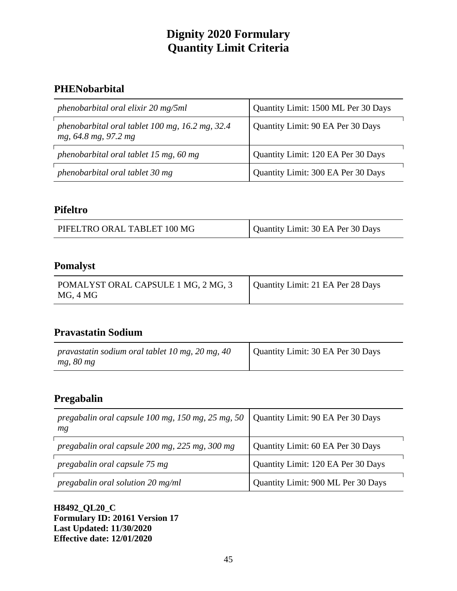# **PHENobarbital**

| phenobarbital oral elixir 20 mg/5ml                                     | Quantity Limit: 1500 ML Per 30 Days |
|-------------------------------------------------------------------------|-------------------------------------|
| phenobarbital oral tablet 100 mg, 16.2 mg, 32.4<br>mg, 64.8 mg, 97.2 mg | Quantity Limit: 90 EA Per 30 Days   |
| phenobarbital oral tablet 15 mg, 60 mg                                  | Quantity Limit: 120 EA Per 30 Days  |
| phenobarbital oral tablet 30 mg                                         | Quantity Limit: 300 EA Per 30 Days  |

### **Pifeltro**

| PIFELTRO ORAL TABLET 100 MG | Quantity Limit: 30 EA Per 30 Days |
|-----------------------------|-----------------------------------|
|                             |                                   |

# **Pomalyst**

| POMALYST ORAL CAPSULE 1 MG, 2 MG, 3<br>MG, 4 MG | Quantity Limit: 21 EA Per 28 Days |
|-------------------------------------------------|-----------------------------------|

# **Pravastatin Sodium**

| pravastatin sodium oral tablet 10 mg, 20 mg, 40<br>mg, 80 mg | Quantity Limit: 30 EA Per 30 Days |
|--------------------------------------------------------------|-----------------------------------|

# **Pregabalin**

| pregabalin oral capsule 100 mg, 150 mg, 25 mg, 50   Quantity Limit: 90 EA Per 30 Days<br>mg |                                    |
|---------------------------------------------------------------------------------------------|------------------------------------|
| pregabalin oral capsule 200 mg, 225 mg, 300 mg                                              | Quantity Limit: 60 EA Per 30 Days  |
| pregabalin oral capsule 75 mg                                                               | Quantity Limit: 120 EA Per 30 Days |
| pregabalin oral solution 20 mg/ml                                                           | Quantity Limit: 900 ML Per 30 Days |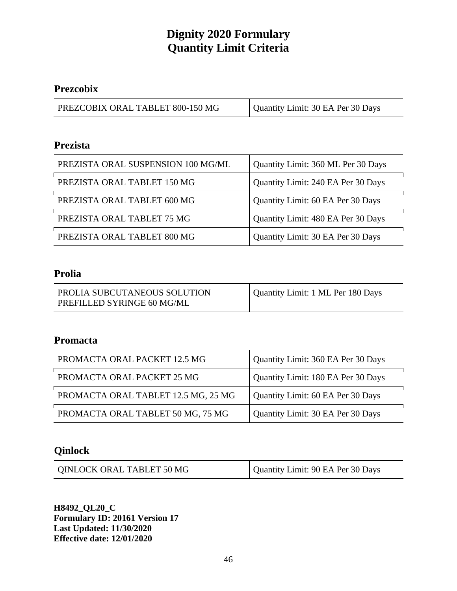# **Prezcobix**

| PREZCOBIX ORAL TABLET 800-150 MG | Quantity Limit: 30 EA Per 30 Days |
|----------------------------------|-----------------------------------|
|                                  |                                   |

### **Prezista**

| PREZISTA ORAL SUSPENSION 100 MG/ML | Quantity Limit: 360 ML Per 30 Days |
|------------------------------------|------------------------------------|
| PREZISTA ORAL TABLET 150 MG        | Quantity Limit: 240 EA Per 30 Days |
| PREZISTA ORAL TABLET 600 MG        | Quantity Limit: 60 EA Per 30 Days  |
| PREZISTA ORAL TABLET 75 MG         | Quantity Limit: 480 EA Per 30 Days |
| PREZISTA ORAL TABLET 800 MG        | Quantity Limit: 30 EA Per 30 Days  |

### **Prolia**

| PROLIA SUBCUTANEOUS SOLUTION | Quantity Limit: 1 ML Per 180 Days |
|------------------------------|-----------------------------------|
| PREFILLED SYRINGE 60 MG/ML   |                                   |

### **Promacta**

| PROMACTA ORAL PACKET 12.5 MG        | Quantity Limit: 360 EA Per 30 Days |
|-------------------------------------|------------------------------------|
| PROMACTA ORAL PACKET 25 MG          | Quantity Limit: 180 EA Per 30 Days |
| PROMACTA ORAL TABLET 12.5 MG, 25 MG | Quantity Limit: 60 EA Per 30 Days  |
| PROMACTA ORAL TABLET 50 MG, 75 MG   | Quantity Limit: 30 EA Per 30 Days  |

#### **Qinlock**

| QINLOCK ORAL TABLET 50 MG | Quantity Limit: 90 EA Per 30 Days |
|---------------------------|-----------------------------------|
|---------------------------|-----------------------------------|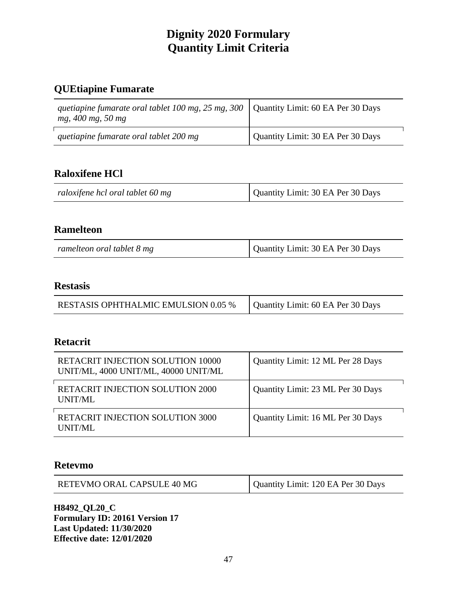# **QUEtiapine Fumarate**

| quetiapine fumarate oral tablet 100 mg, 25 mg, 300   Quantity Limit: 60 EA Per 30 Days<br>mg, 400 mg, 50 mg |                                   |
|-------------------------------------------------------------------------------------------------------------|-----------------------------------|
| quetiapine fumarate oral tablet 200 mg                                                                      | Quantity Limit: 30 EA Per 30 Days |

# **Raloxifene HCl**

| raloxifene hcl oral tablet 60 mg | Quantity Limit: 30 EA Per 30 Days |
|----------------------------------|-----------------------------------|

# **Ramelteon**

| ramelteon oral tablet 8 mg | Quantity Limit: 30 EA Per 30 Days |
|----------------------------|-----------------------------------|
|----------------------------|-----------------------------------|

### **Restasis**

| <b>RESTASIS OPHTHALMIC EMULSION 0.05 %</b> | Quantity Limit: 60 EA Per 30 Days |
|--------------------------------------------|-----------------------------------|
|--------------------------------------------|-----------------------------------|

#### **Retacrit**

| RETACRIT INJECTION SOLUTION 10000<br>UNIT/ML, 4000 UNIT/ML, 40000 UNIT/ML | Quantity Limit: 12 ML Per 28 Days |
|---------------------------------------------------------------------------|-----------------------------------|
| RETACRIT INJECTION SOLUTION 2000<br>UNIT/ML                               | Quantity Limit: 23 ML Per 30 Days |
| <b>RETACRIT INJECTION SOLUTION 3000</b><br>UNIT/ML                        | Quantity Limit: 16 ML Per 30 Days |

### **Retevmo**

| RETEVMO ORAL CAPSULE 40 MG | Quantity Limit: 120 EA Per 30 Days |
|----------------------------|------------------------------------|
|----------------------------|------------------------------------|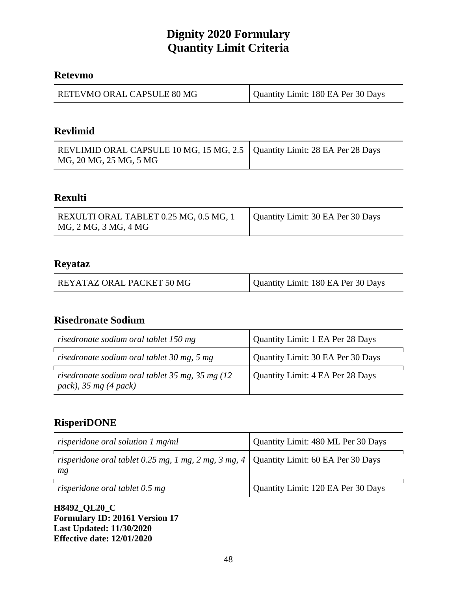#### **Retevmo**

| RETEVMO ORAL CAPSULE 80 MG | Quantity Limit: 180 EA Per 30 Days |
|----------------------------|------------------------------------|
|----------------------------|------------------------------------|

<u> 1980 - Johann Barn, mars ann an t-Amhain Aonaich an t-Aonaich an t-Aonaich ann an t-Aonaich ann an t-Aonaich</u>

#### **Revlimid**

| REVLIMID ORAL CAPSULE 10 MG, 15 MG, 2.5   Quantity Limit: 28 EA Per 28 Days |  |
|-----------------------------------------------------------------------------|--|
| MG, 20 MG, 25 MG, 5 MG                                                      |  |

# **Rexulti**

| REXULTI ORAL TABLET 0.25 MG, 0.5 MG, 1 | Quantity Limit: 30 EA Per 30 Days |
|----------------------------------------|-----------------------------------|
| MG, 2 MG, 3 MG, 4 MG                   |                                   |

#### **Reyataz**

| REYATAZ ORAL PACKET 50 MG | Quantity Limit: 180 EA Per 30 Days |
|---------------------------|------------------------------------|
|                           |                                    |

### **Risedronate Sodium**

| risedronate sodium oral tablet 150 mg                                                               | Quantity Limit: 1 EA Per 28 Days  |
|-----------------------------------------------------------------------------------------------------|-----------------------------------|
| risedronate sodium oral tablet 30 mg, 5 mg                                                          | Quantity Limit: 30 EA Per 30 Days |
| risedronate sodium oral tablet $35 \text{ mg}$ , $35 \text{ mg}$ (12)<br>pack), $35 \, mg$ (4 pack) | Quantity Limit: 4 EA Per 28 Days  |

#### **RisperiDONE**

| risperidone oral solution $1 \text{ mg/ml}$                                                    | Quantity Limit: 480 ML Per 30 Days |
|------------------------------------------------------------------------------------------------|------------------------------------|
| risperidone oral tablet 0.25 mg, 1 mg, 2 mg, 3 mg, 4   Quantity Limit: 60 EA Per 30 Days<br>mg |                                    |
| risperidone oral tablet 0.5 mg                                                                 | Quantity Limit: 120 EA Per 30 Days |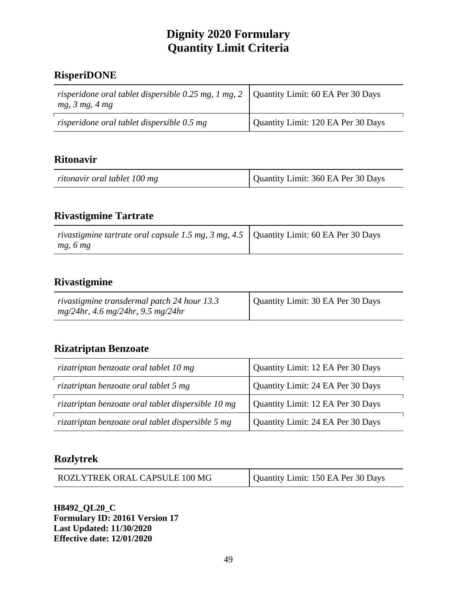# **RisperiDONE**

| risperidone oral tablet dispersible 0.25 mg, 1 mg, 2   Quantity Limit: 60 EA Per 30 Days<br>mg, 3 mg, 4 mg |                                    |
|------------------------------------------------------------------------------------------------------------|------------------------------------|
| risperidone oral tablet dispersible 0.5 mg                                                                 | Quantity Limit: 120 EA Per 30 Days |

### **Ritonavir**

| ritonavir oral tablet 100 mg | Quantity Limit: 360 EA Per 30 Days |
|------------------------------|------------------------------------|
|------------------------------|------------------------------------|

# **Rivastigmine Tartrate**

| rivastigmine tartrate oral capsule 1.5 mg, 3 mg, 4.5   Quantity Limit: 60 EA Per 30 Days |  |
|------------------------------------------------------------------------------------------|--|
| mg, 6 mg                                                                                 |  |

### **Rivastigmine**

| rivastigmine transdermal patch 24 hour 13.3 | Quantity Limit: 30 EA Per 30 Days |
|---------------------------------------------|-----------------------------------|
| $mg/24hr$ , 4.6 mg/24hr, 9.5 mg/24hr        |                                   |

### **Rizatriptan Benzoate**

| rizatriptan benzoate oral tablet 10 mg             | Quantity Limit: 12 EA Per 30 Days |
|----------------------------------------------------|-----------------------------------|
| rizatriptan benzoate oral tablet 5 mg              | Quantity Limit: 24 EA Per 30 Days |
| rizatriptan benzoate oral tablet dispersible 10 mg | Quantity Limit: 12 EA Per 30 Days |
| rizatriptan benzoate oral tablet dispersible 5 mg  | Quantity Limit: 24 EA Per 30 Days |

### **Rozlytrek**

| ROZLYTREK ORAL CAPSULE 100 MG | Quantity Limit: 150 EA Per 30 Days |
|-------------------------------|------------------------------------|
|-------------------------------|------------------------------------|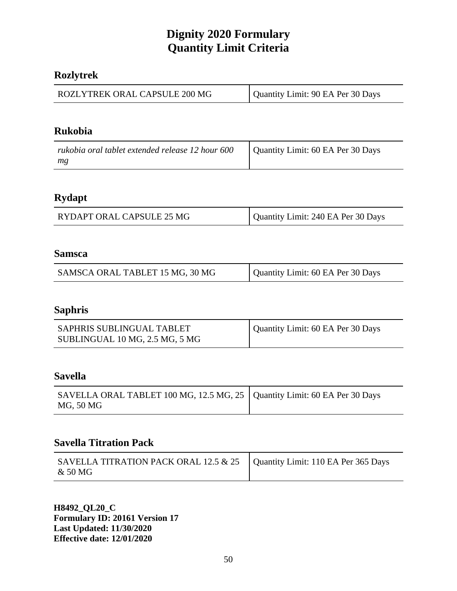### **Rozlytrek**

| ROZLYTREK ORAL CAPSULE 200 MG | Quantity Limit: 90 EA Per 30 Days |
|-------------------------------|-----------------------------------|
|-------------------------------|-----------------------------------|

#### **Rukobia**

| rukobia oral tablet extended release 12 hour 600 | Quantity Limit: 60 EA Per 30 Days |
|--------------------------------------------------|-----------------------------------|
| mg                                               |                                   |

### **Rydapt**

#### **Samsca**

| SAMSCA ORAL TABLET 15 MG, 30 MG | Quantity Limit: 60 EA Per 30 Days |
|---------------------------------|-----------------------------------|
|---------------------------------|-----------------------------------|

# **Saphris**

| SAPHRIS SUBLINGUAL TABLET      | Quantity Limit: 60 EA Per 30 Days |
|--------------------------------|-----------------------------------|
| SUBLINGUAL 10 MG, 2.5 MG, 5 MG |                                   |

#### **Savella**

| SAVELLA ORAL TABLET 100 MG, 12.5 MG, 25   Quantity Limit: 60 EA Per 30 Days |  |
|-----------------------------------------------------------------------------|--|
| MG, 50 MG                                                                   |  |

#### **Savella Titration Pack**

| SAVELLA TITRATION PACK ORAL 12.5 & 25   Quantity Limit: 110 EA Per 365 Days |  |
|-----------------------------------------------------------------------------|--|
| & 50 MG                                                                     |  |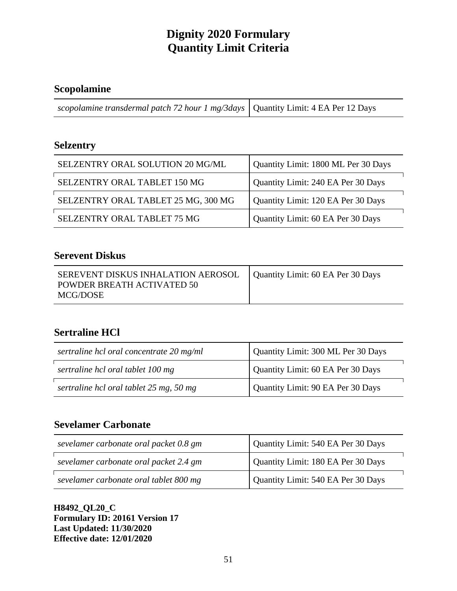# **Scopolamine**

*scopolamine transdermal patch 72 hour 1 mg/3days* Quantity Limit: 4 EA Per 12 Days

# **Selzentry**

| SELZENTRY ORAL SOLUTION 20 MG/ML    | Quantity Limit: 1800 ML Per 30 Days |
|-------------------------------------|-------------------------------------|
| SELZENTRY ORAL TABLET 150 MG        | Quantity Limit: 240 EA Per 30 Days  |
| SELZENTRY ORAL TABLET 25 MG, 300 MG | Quantity Limit: 120 EA Per 30 Days  |
| SELZENTRY ORAL TABLET 75 MG         | Quantity Limit: 60 EA Per 30 Days   |

#### **Serevent Diskus**

| SEREVENT DISKUS INHALATION AEROSOL | Quantity Limit: 60 EA Per 30 Days |
|------------------------------------|-----------------------------------|
| POWDER BREATH ACTIVATED 50         |                                   |
| MCG/DOSE                           |                                   |

### **Sertraline HCl**

| sertraline hcl oral concentrate 20 mg/ml | Quantity Limit: 300 ML Per 30 Days |
|------------------------------------------|------------------------------------|
| sertraline hcl oral tablet 100 mg        | Quantity Limit: 60 EA Per 30 Days  |
| sertraline hcl oral tablet 25 mg, 50 mg  | Quantity Limit: 90 EA Per 30 Days  |

# **Sevelamer Carbonate**

| sevelamer carbonate oral packet 0.8 gm | Quantity Limit: 540 EA Per 30 Days |
|----------------------------------------|------------------------------------|
| sevelamer carbonate oral packet 2.4 gm | Quantity Limit: 180 EA Per 30 Days |
| sevelamer carbonate oral tablet 800 mg | Quantity Limit: 540 EA Per 30 Days |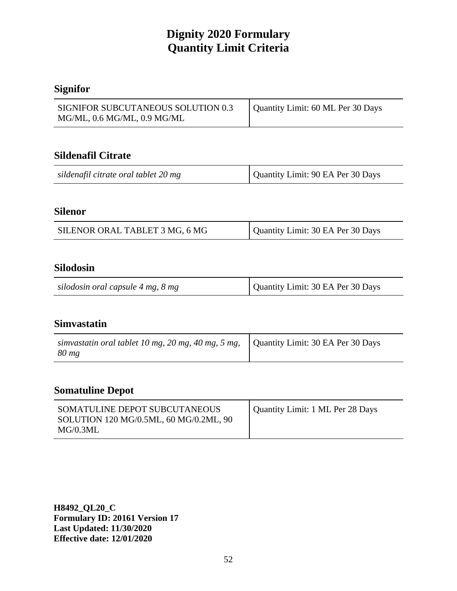# **Signifor**

| SIGNIFOR SUBCUTANEOUS SOLUTION 0.3<br>MG/ML, 0.6 MG/ML, 0.9 MG/ML | Quantity Limit: 60 ML Per 30 Days |
|-------------------------------------------------------------------|-----------------------------------|
|-------------------------------------------------------------------|-----------------------------------|

### **Sildenafil Citrate**

### **Silenor**

|  | SILENOR ORAL TABLET 3 MG, 6 MG | Quantity Limit: 30 EA Per 30 Days |
|--|--------------------------------|-----------------------------------|
|--|--------------------------------|-----------------------------------|

#### **Silodosin**

| silodosin oral capsule 4 mg, 8 mg | Quantity Limit: 30 EA Per 30 Days |
|-----------------------------------|-----------------------------------|
|-----------------------------------|-----------------------------------|

#### **Simvastatin**

| simvastatin oral tablet 10 mg, 20 mg, 40 mg, 5 mg, $\vert$ Quantity Limit: 30 EA Per 30 Days |  |
|----------------------------------------------------------------------------------------------|--|
| $80 \, mg$                                                                                   |  |

# **Somatuline Depot**

| SOMATULINE DEPOT SUBCUTANEOUS<br>SOLUTION 120 MG/0.5ML, 60 MG/0.2ML, 90<br>MG/0.3ML | Quantity Limit: 1 ML Per 28 Days |
|-------------------------------------------------------------------------------------|----------------------------------|
|-------------------------------------------------------------------------------------|----------------------------------|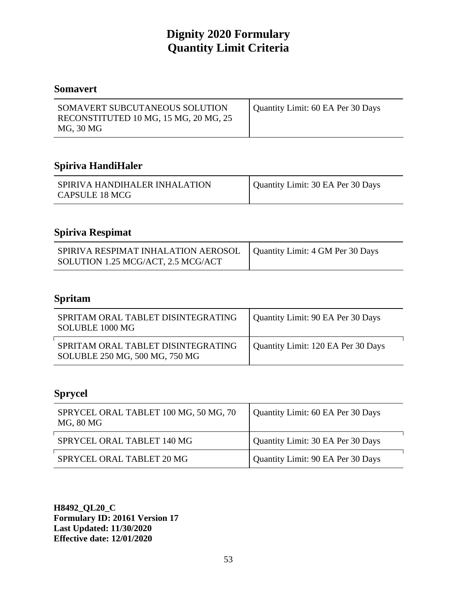### **Somavert**

| SOMAVERT SUBCUTANEOUS SOLUTION<br>RECONSTITUTED 10 MG, 15 MG, 20 MG, 25 | Quantity Limit: 60 EA Per 30 Days |
|-------------------------------------------------------------------------|-----------------------------------|
| MG, 30 MG                                                               |                                   |

# **Spiriva HandiHaler**

| SPIRIVA HANDIHALER INHALATION<br>CAPSULE 18 MCG | Quantity Limit: 30 EA Per 30 Days |
|-------------------------------------------------|-----------------------------------|
|-------------------------------------------------|-----------------------------------|

# **Spiriva Respimat**

| SPIRIVA RESPIMAT INHALATION AEROSOL   Quantity Limit: 4 GM Per 30 Days |  |
|------------------------------------------------------------------------|--|
| SOLUTION 1.25 MCG/ACT, 2.5 MCG/ACT                                     |  |

### **Spritam**

| SPRITAM ORAL TABLET DISINTEGRATING<br>SOLUBLE 1000 MG                | Quantity Limit: 90 EA Per 30 Days  |
|----------------------------------------------------------------------|------------------------------------|
| SPRITAM ORAL TABLET DISINTEGRATING<br>SOLUBLE 250 MG, 500 MG, 750 MG | Quantity Limit: 120 EA Per 30 Days |

# **Sprycel**

| SPRYCEL ORAL TABLET 100 MG, 50 MG, 70<br>MG, 80 MG | Quantity Limit: 60 EA Per 30 Days |
|----------------------------------------------------|-----------------------------------|
| SPRYCEL ORAL TABLET 140 MG                         | Quantity Limit: 30 EA Per 30 Days |
| SPRYCEL ORAL TABLET 20 MG                          | Quantity Limit: 90 EA Per 30 Days |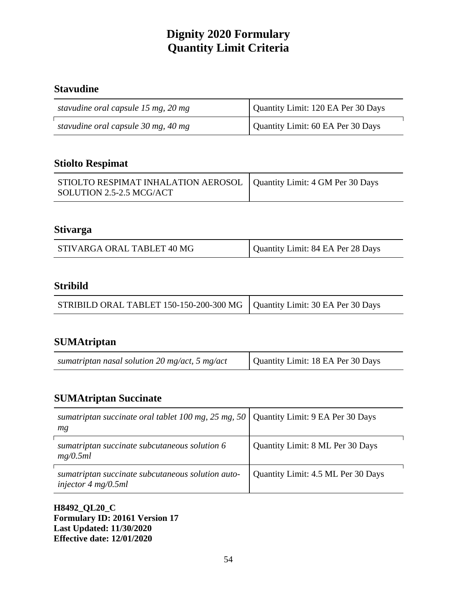# **Stavudine**

| stavudine oral capsule 15 mg, 20 mg | Quantity Limit: 120 EA Per 30 Days |
|-------------------------------------|------------------------------------|
| stavudine oral capsule 30 mg, 40 mg | Quantity Limit: 60 EA Per 30 Days  |

#### **Stiolto Respimat**

| STIOLTO RESPIMAT INHALATION AEROSOL   Quantity Limit: 4 GM Per 30 Days |  |
|------------------------------------------------------------------------|--|
| SOLUTION 2.5-2.5 MCG/ACT                                               |  |

#### **Stivarga**

| STIVARGA ORAL TABLET 40 MG | Quantity Limit: 84 EA Per 28 Days |
|----------------------------|-----------------------------------|
|                            |                                   |

# **Stribild**

| STRIBILD ORAL TABLET 150-150-200-300 MG   Quantity Limit: 30 EA Per 30 Days |  |
|-----------------------------------------------------------------------------|--|
|-----------------------------------------------------------------------------|--|

### **SUMAtriptan**

| sumatriptan nasal solution 20 mg/act, 5 mg/act | Quantity Limit: 18 EA Per 30 Days |
|------------------------------------------------|-----------------------------------|
|------------------------------------------------|-----------------------------------|

### **SUMAtriptan Succinate**

| sumatriptan succinate oral tablet 100 mg, 25 mg, 50   Quantity Limit: 9 EA Per 30 Days<br>mg |                                    |
|----------------------------------------------------------------------------------------------|------------------------------------|
| sumatriptan succinate subcutaneous solution 6<br>mg/0.5ml                                    | Quantity Limit: 8 ML Per 30 Days   |
| sumatriptan succinate subcutaneous solution auto-<br>injector $4 \text{ mg}/0.5 \text{ml}$   | Quantity Limit: 4.5 ML Per 30 Days |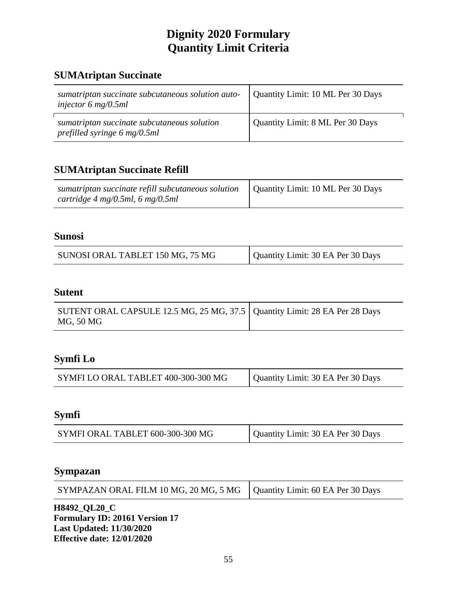### **SUMAtriptan Succinate**

| sumatriptan succinate subcutaneous solution auto-<br>injector 6 mg/0.5ml                      | Quantity Limit: 10 ML Per 30 Days |
|-----------------------------------------------------------------------------------------------|-----------------------------------|
| sumatriptan succinate subcutaneous solution<br>prefilled syringe $6 \text{ mg}/0.5 \text{ml}$ | Quantity Limit: 8 ML Per 30 Days  |

# **SUMAtriptan Succinate Refill**

| sumatriptan succinate refill subcutaneous solution   Quantity Limit: 10 ML Per 30 Days |  |
|----------------------------------------------------------------------------------------|--|
| cartridge $4 \text{ mg}/0.5 \text{ml}$ , 6 mg/0.5ml                                    |  |

### **Sunosi**

| SUNOSI ORAL TABLET 150 MG, 75 MG | Quantity Limit: 30 EA Per 30 Days |
|----------------------------------|-----------------------------------|
|----------------------------------|-----------------------------------|

### **Sutent**

| SUTENT ORAL CAPSULE 12.5 MG, 25 MG, 37.5   Quantity Limit: 28 EA Per 28 Days |  |
|------------------------------------------------------------------------------|--|
| MG, 50 MG                                                                    |  |

# **Symfi Lo**

| SYMFI LO ORAL TABLET 400-300-300 MG | Quantity Limit: 30 EA Per 30 Days |
|-------------------------------------|-----------------------------------|
|-------------------------------------|-----------------------------------|

### **Symfi**

| Quantity Limit: 30 EA Per 30 Days<br>SYMFI ORAL TABLET 600-300-300 MG |  |
|-----------------------------------------------------------------------|--|
|-----------------------------------------------------------------------|--|

### **Sympazan**

| SYMPAZAN ORAL FILM 10 MG, 20 MG, 5 MG   Quantity Limit: 60 EA Per 30 Days |  |
|---------------------------------------------------------------------------|--|
|---------------------------------------------------------------------------|--|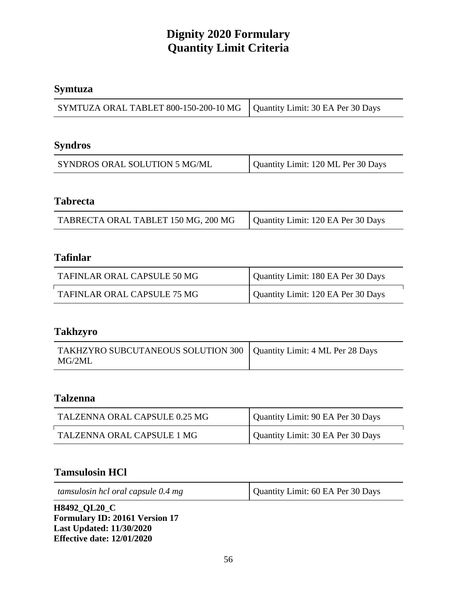# **Symtuza**

| SYMTUZA ORAL TABLET 800-150-200-10 MG   Quantity Limit: 30 EA Per 30 Days |  |
|---------------------------------------------------------------------------|--|
|---------------------------------------------------------------------------|--|

# **Syndros**

| SYNDROS ORAL SOLUTION 5 MG/ML | Quantity Limit: 120 ML Per 30 Days |
|-------------------------------|------------------------------------|

### **Tabrecta**

| TABRECTA ORAL TABLET 150 MG, 200 MG | Quantity Limit: 120 EA Per 30 Days |
|-------------------------------------|------------------------------------|

# **Tafinlar**

| TAFINLAR ORAL CAPSULE 50 MG | Quantity Limit: 180 EA Per 30 Days |
|-----------------------------|------------------------------------|
| TAFINLAR ORAL CAPSULE 75 MG | Quantity Limit: 120 EA Per 30 Days |

#### **Takhzyro**

| TAKHZYRO SUBCUTANEOUS SOLUTION 300   Quantity Limit: 4 ML Per 28 Days |  |
|-----------------------------------------------------------------------|--|
| MG/2ML                                                                |  |

### **Talzenna**

| TALZENNA ORAL CAPSULE 0.25 MG | Quantity Limit: 90 EA Per 30 Days |
|-------------------------------|-----------------------------------|
| TALZENNA ORAL CAPSULE 1 MG    | Quantity Limit: 30 EA Per 30 Days |

### **Tamsulosin HCl**

| tamsulosin hcl oral capsule 0.4 mg | Quantity Limit: 60 EA Per 30 Days |
|------------------------------------|-----------------------------------|
|                                    |                                   |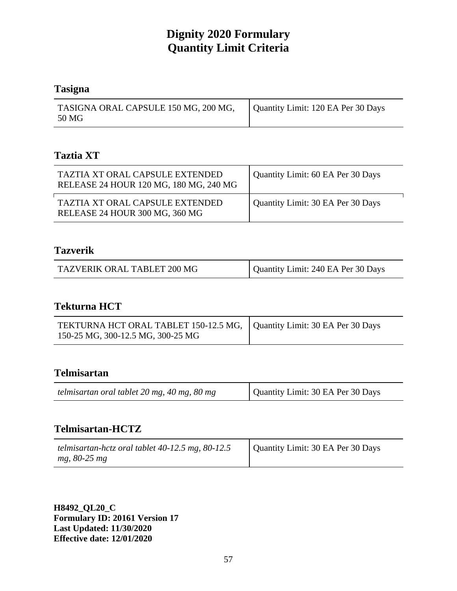# **Tasigna**

| TASIGNA ORAL CAPSULE 150 MG, 200 MG, | Quantity Limit: 120 EA Per 30 Days |
|--------------------------------------|------------------------------------|
| 50 MG                                |                                    |

# **Taztia XT**

| TAZTIA XT ORAL CAPSULE EXTENDED<br>RELEASE 24 HOUR 120 MG, 180 MG, 240 MG | Quantity Limit: 60 EA Per 30 Days |
|---------------------------------------------------------------------------|-----------------------------------|
| TAZTIA XT ORAL CAPSULE EXTENDED<br>RELEASE 24 HOUR 300 MG, 360 MG         | Quantity Limit: 30 EA Per 30 Days |

# **Tazverik**

| TAZVERIK ORAL TABLET 200 MG | Quantity Limit: 240 EA Per 30 Days |
|-----------------------------|------------------------------------|

### **Tekturna HCT**

| TEKTURNA HCT ORAL TABLET 150-12.5 MG,   Quantity Limit: 30 EA Per 30 Days |  |
|---------------------------------------------------------------------------|--|
| 150-25 MG, 300-12.5 MG, 300-25 MG                                         |  |

# **Telmisartan**

| telmisartan oral tablet 20 mg, 40 mg, 80 mg | Quantity Limit: 30 EA Per 30 Days |
|---------------------------------------------|-----------------------------------|
|---------------------------------------------|-----------------------------------|

# **Telmisartan-HCTZ**

| telmisartan-hctz oral tablet $40-12.5$ mg, $80-12.5$ | Quantity Limit: 30 EA Per 30 Days |
|------------------------------------------------------|-----------------------------------|
| mg, 80-25 mg                                         |                                   |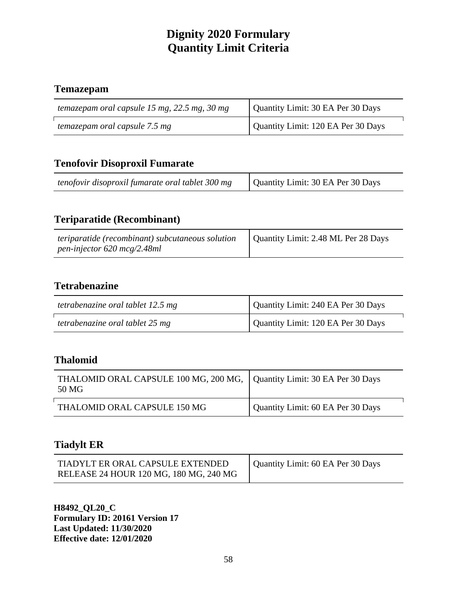# **Temazepam**

| temazepam oral capsule 15 mg, $22.5$ mg, $30$ mg | Quantity Limit: 30 EA Per 30 Days  |
|--------------------------------------------------|------------------------------------|
| temazepam oral capsule 7.5 mg                    | Quantity Limit: 120 EA Per 30 Days |

### **Tenofovir Disoproxil Fumarate**

| tenofovir disoproxil fumarate oral tablet 300 mg | Quantity Limit: 30 EA Per 30 Days |
|--------------------------------------------------|-----------------------------------|
|                                                  |                                   |

# **Teriparatide (Recombinant)**

| teriparatide (recombinant) subcutaneous solution | Quantity Limit: 2.48 ML Per 28 Days |
|--------------------------------------------------|-------------------------------------|
| pen-injector 620 mcg/2.48ml                      |                                     |

# **Tetrabenazine**

| tetrabenazine oral tablet 12.5 mg | Quantity Limit: 240 EA Per 30 Days |
|-----------------------------------|------------------------------------|
| tetrabenazine oral tablet 25 mg   | Quantity Limit: 120 EA Per 30 Days |

# **Thalomid**

| THALOMID ORAL CAPSULE 100 MG, 200 MG,   Quantity Limit: 30 EA Per 30 Days<br>50 MG |                                   |
|------------------------------------------------------------------------------------|-----------------------------------|
| THALOMID ORAL CAPSULE 150 MG                                                       | Quantity Limit: 60 EA Per 30 Days |

### **Tiadylt ER**

| TIADYLT ER ORAL CAPSULE EXTENDED       | Quantity Limit: 60 EA Per 30 Days |
|----------------------------------------|-----------------------------------|
| RELEASE 24 HOUR 120 MG, 180 MG, 240 MG |                                   |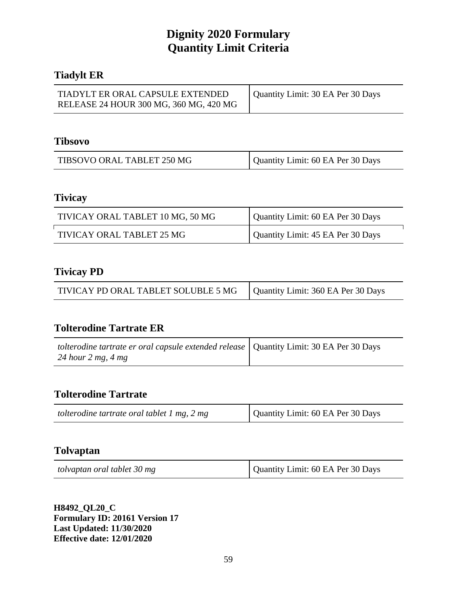### **Tiadylt ER**

| TIADYLT ER ORAL CAPSULE EXTENDED       | Quantity Limit: 30 EA Per 30 Days |
|----------------------------------------|-----------------------------------|
| RELEASE 24 HOUR 300 MG, 360 MG, 420 MG |                                   |

#### **Tibsovo**

| TIBSOVO ORAL TABLET 250 MG | Quantity Limit: 60 EA Per 30 Days |
|----------------------------|-----------------------------------|

### **Tivicay**

| TIVICAY ORAL TABLET 10 MG, 50 MG | Quantity Limit: 60 EA Per 30 Days |
|----------------------------------|-----------------------------------|
| TIVICAY ORAL TABLET 25 MG        | Quantity Limit: 45 EA Per 30 Days |

### **Tivicay PD**

| TIVICAY PD ORAL TABLET SOLUBLE 5 MG   Quantity Limit: 360 EA Per 30 Days |  |
|--------------------------------------------------------------------------|--|

### **Tolterodine Tartrate ER**

| tolterodine tartrate er oral capsule extended release   Quantity Limit: 30 EA Per 30 Days |  |
|-------------------------------------------------------------------------------------------|--|
| 24 hour 2 mg, 4 mg                                                                        |  |

### **Tolterodine Tartrate**

| tolterodine tartrate oral tablet 1 mg, 2 mg | Quantity Limit: 60 EA Per 30 Days |
|---------------------------------------------|-----------------------------------|
|---------------------------------------------|-----------------------------------|

#### **Tolvaptan**

| tolvaptan oral tablet 30 mg | Quantity Limit: 60 EA Per 30 Days |
|-----------------------------|-----------------------------------|
|-----------------------------|-----------------------------------|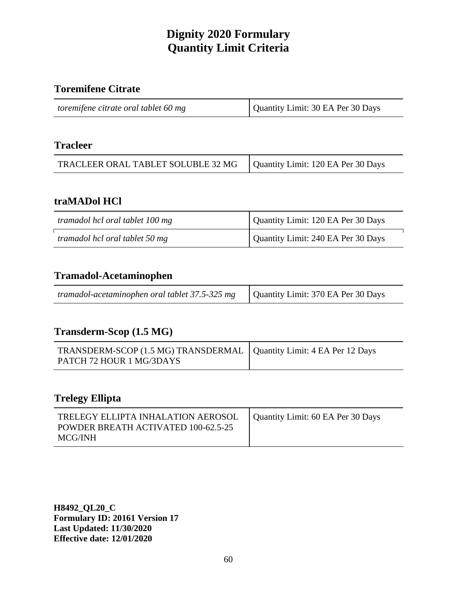### **Toremifene Citrate**

| toremifene citrate oral tablet 60 mg | Quantity Limit: 30 EA Per 30 Days |
|--------------------------------------|-----------------------------------|
|--------------------------------------|-----------------------------------|

### **Tracleer**

| TRACLEER ORAL TABLET SOLUBLE 32 MG | Quantity Limit: 120 EA Per 30 Days |
|------------------------------------|------------------------------------|
|------------------------------------|------------------------------------|

#### **traMADol HCl**

| tramadol hcl oral tablet 100 mg | Quantity Limit: 120 EA Per 30 Days |
|---------------------------------|------------------------------------|
| tramadol hel oral tablet 50 mg  | Quantity Limit: 240 EA Per 30 Days |

#### **Tramadol-Acetaminophen**

| tramadol-acetaminophen oral tablet 37.5-325 mg   Quantity Limit: 370 EA Per 30 Days |  |
|-------------------------------------------------------------------------------------|--|

### **Transderm-Scop (1.5 MG)**

| TRANSDERM-SCOP (1.5 MG) TRANSDERMAL   Quantity Limit: 4 EA Per 12 Days |  |
|------------------------------------------------------------------------|--|
| PATCH 72 HOUR 1 MG/3DAYS                                               |  |

# **Trelegy Ellipta**

| TRELEGY ELLIPTA INHALATION AEROSOL<br>POWDER BREATH ACTIVATED 100-62.5-25<br>MCG/INH | Quantity Limit: 60 EA Per 30 Days |
|--------------------------------------------------------------------------------------|-----------------------------------|
|--------------------------------------------------------------------------------------|-----------------------------------|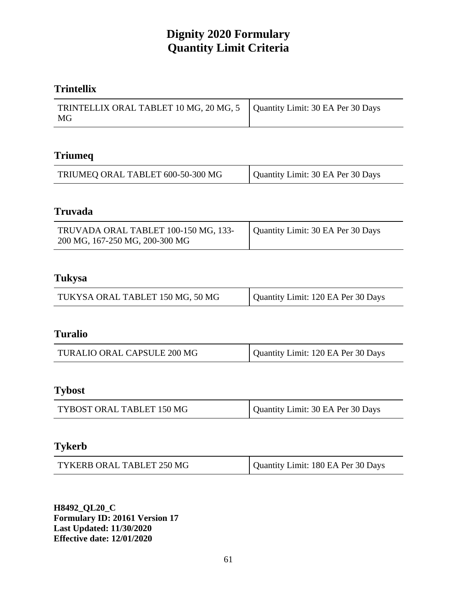# **Trintellix**

| TRINTELLIX ORAL TABLET 10 MG, 20 MG, $5$   Quantity Limit: 30 EA Per 30 Days |  |
|------------------------------------------------------------------------------|--|
| MG                                                                           |  |

### **Triumeq**

| TRIUMEQ ORAL TABLET 600-50-300 MG | Quantity Limit: 30 EA Per 30 Days |
|-----------------------------------|-----------------------------------|
|-----------------------------------|-----------------------------------|

# **Truvada**

| TRUVADA ORAL TABLET 100-150 MG, 133-<br>200 MG, 167-250 MG, 200-300 MG | Quantity Limit: 30 EA Per 30 Days |
|------------------------------------------------------------------------|-----------------------------------|
|------------------------------------------------------------------------|-----------------------------------|

# **Tukysa**

| TUKYSA ORAL TABLET 150 MG, 50 MG | Quantity Limit: 120 EA Per 30 Days |
|----------------------------------|------------------------------------|

# **Turalio**

| TURALIO ORAL CAPSULE 200 MG | Quantity Limit: 120 EA Per 30 Days |
|-----------------------------|------------------------------------|
|-----------------------------|------------------------------------|

### **Tybost**

| Quantity Limit: 30 EA Per 30 Days |
|-----------------------------------|
|                                   |

### **Tykerb**

| TYKERB ORAL TABLET 250 MG | Quantity Limit: 180 EA Per 30 Days |
|---------------------------|------------------------------------|
|---------------------------|------------------------------------|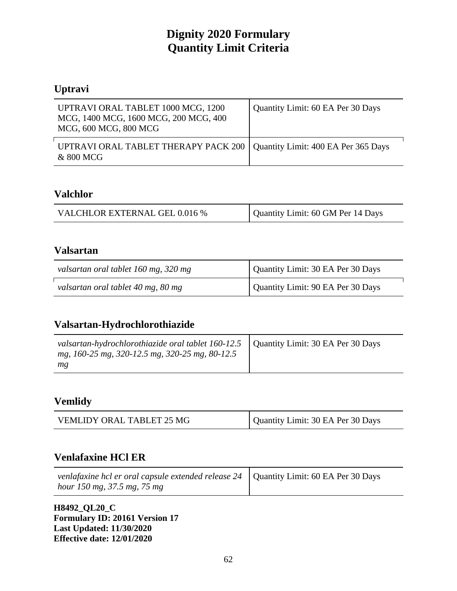# **Uptravi**

| UPTRAVI ORAL TABLET 1000 MCG, 1200<br>MCG, 1400 MCG, 1600 MCG, 200 MCG, 400<br>MCG, 600 MCG, 800 MCG | Quantity Limit: 60 EA Per 30 Days   |
|------------------------------------------------------------------------------------------------------|-------------------------------------|
| UPTRAVI ORAL TABLET THERAPY PACK 200<br>& 800 MCG                                                    | Quantity Limit: 400 EA Per 365 Days |

### **Valchlor**

| VALCHLOR EXTERNAL GEL 0.016 % | Quantity Limit: 60 GM Per 14 Days |
|-------------------------------|-----------------------------------|
|                               |                                   |

### **Valsartan**

| valsartan oral tablet 160 mg, 320 mg | Quantity Limit: 30 EA Per 30 Days |
|--------------------------------------|-----------------------------------|
| valsartan oral tablet 40 mg, 80 mg   | Quantity Limit: 90 EA Per 30 Days |

### **Valsartan-Hydrochlorothiazide**

| valsartan-hydrochlorothiazide oral tablet 160-12.5   Quantity Limit: 30 EA Per 30 Days<br>mg, 160-25 mg, 320-12.5 mg, 320-25 mg, 80-12.5 |  |
|------------------------------------------------------------------------------------------------------------------------------------------|--|
| mg                                                                                                                                       |  |

### **Vemlidy**

|  | <b>VEMLIDY ORAL TABLET 25 MG</b> | Quantity Limit: 30 EA Per 30 Days |
|--|----------------------------------|-----------------------------------|
|--|----------------------------------|-----------------------------------|

### **Venlafaxine HCl ER**

| hour 150 mg, 37.5 mg, 75 mg | venlafaxine hcl er oral capsule extended release 24   Quantity Limit: 60 EA Per 30 Days |  |
|-----------------------------|-----------------------------------------------------------------------------------------|--|
|-----------------------------|-----------------------------------------------------------------------------------------|--|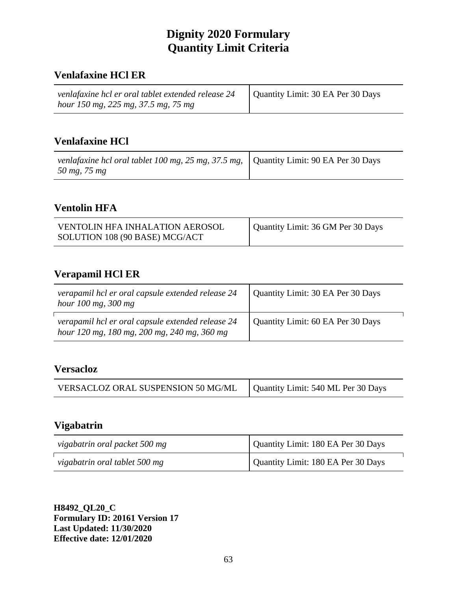### **Venlafaxine HCl ER**

| venlafaxine hcl er oral tablet extended release 24 | Quantity Limit: 30 EA Per 30 Days |
|----------------------------------------------------|-----------------------------------|
| hour 150 mg, 225 mg, 37.5 mg, 75 mg                |                                   |

### **Venlafaxine HCl**

| venlafaxine hcl oral tablet 100 mg, 25 mg, 37.5 mg, $\vert$ Quantity Limit: 90 EA Per 30 Days<br>50 mg, 75 mg |  |
|---------------------------------------------------------------------------------------------------------------|--|
|---------------------------------------------------------------------------------------------------------------|--|

#### **Ventolin HFA**

| <b>VENTOLIN HFA INHALATION AEROSOL</b> | Quantity Limit: 36 GM Per 30 Days |
|----------------------------------------|-----------------------------------|
| SOLUTION 108 (90 BASE) MCG/ACT         |                                   |

### **Verapamil HCl ER**

| verapamil hcl er oral capsule extended release 24<br>hour $100$ mg, $300$ mg                     | Quantity Limit: 30 EA Per 30 Days |
|--------------------------------------------------------------------------------------------------|-----------------------------------|
| verapamil hcl er oral capsule extended release 24<br>hour 120 mg, 180 mg, 200 mg, 240 mg, 360 mg | Quantity Limit: 60 EA Per 30 Days |

#### **Versacloz**

|--|

### **Vigabatrin**

| vigabatrin oral packet 500 mg | Quantity Limit: 180 EA Per 30 Days |
|-------------------------------|------------------------------------|
| vigabatrin oral tablet 500 mg | Quantity Limit: 180 EA Per 30 Days |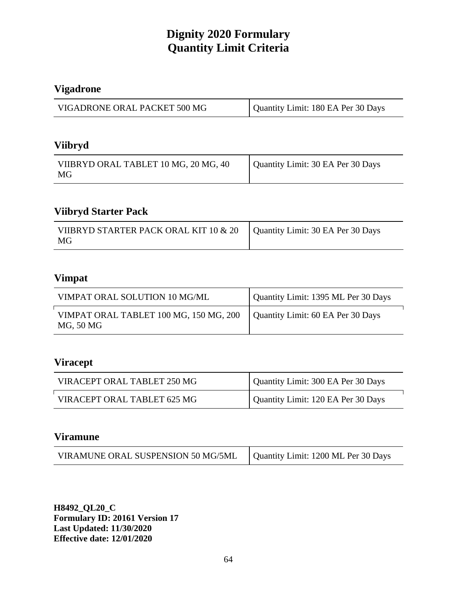# **Vigadrone**

| VIGADRONE ORAL PACKET 500 MG | Quantity Limit: 180 EA Per 30 Days |  |
|------------------------------|------------------------------------|--|
|                              |                                    |  |

# **Viibryd**

| VIIBRYD ORAL TABLET 10 MG, 20 MG, 40 | Quantity Limit: 30 EA Per 30 Days |
|--------------------------------------|-----------------------------------|
| MG                                   |                                   |

# **Viibryd Starter Pack**

| VIIBRYD STARTER PACK ORAL KIT 10 & 20   Quantity Limit: 30 EA Per 30 Days<br>MG |  |
|---------------------------------------------------------------------------------|--|
|---------------------------------------------------------------------------------|--|

### **Vimpat**

| VIMPAT ORAL SOLUTION 10 MG/ML                       | Quantity Limit: 1395 ML Per 30 Days |
|-----------------------------------------------------|-------------------------------------|
| VIMPAT ORAL TABLET 100 MG, 150 MG, 200<br>MG, 50 MG | Quantity Limit: 60 EA Per 30 Days   |

# **Viracept**

| VIRACEPT ORAL TABLET 250 MG | Quantity Limit: 300 EA Per 30 Days |
|-----------------------------|------------------------------------|
| VIRACEPT ORAL TABLET 625 MG | Quantity Limit: 120 EA Per 30 Days |

#### **Viramune**

| VIRAMUNE ORAL SUSPENSION 50 MG/5ML   Quantity Limit: 1200 ML Per 30 Days |  |
|--------------------------------------------------------------------------|--|
|--------------------------------------------------------------------------|--|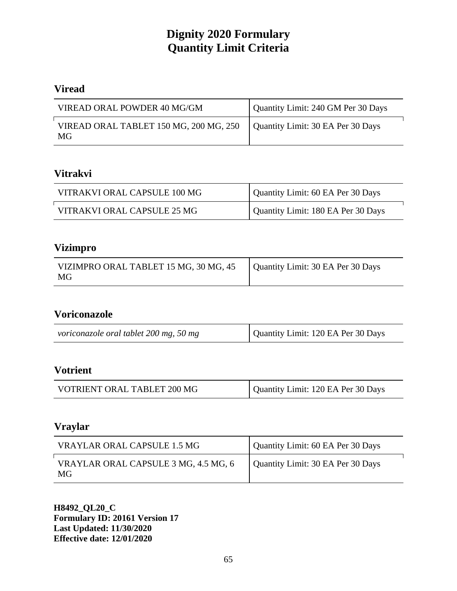# **Viread**

| VIREAD ORAL POWDER 40 MG/GM                  | Quantity Limit: 240 GM Per 30 Days |
|----------------------------------------------|------------------------------------|
| VIREAD ORAL TABLET 150 MG, 200 MG, 250<br>MG | Quantity Limit: 30 EA Per 30 Days  |

### **Vitrakvi**

| VITRAKVI ORAL CAPSULE 100 MG | Quantity Limit: 60 EA Per 30 Days  |
|------------------------------|------------------------------------|
| VITRAKVI ORAL CAPSULE 25 MG  | Quantity Limit: 180 EA Per 30 Days |

# **Vizimpro**

| VIZIMPRO ORAL TABLET 15 MG, 30 MG, 45   Quantity Limit: 30 EA Per 30 Days |  |
|---------------------------------------------------------------------------|--|
| MG                                                                        |  |

### **Voriconazole**

| voriconazole oral tablet 200 mg, 50 mg | Quantity Limit: 120 EA Per 30 Days |
|----------------------------------------|------------------------------------|
|----------------------------------------|------------------------------------|

### **Votrient**

| VOTRIENT ORAL TABLET 200 MG | Quantity Limit: 120 EA Per 30 Days |
|-----------------------------|------------------------------------|
|                             |                                    |

# **Vraylar**

| VRAYLAR ORAL CAPSULE 1.5 MG                | Quantity Limit: 60 EA Per 30 Days |
|--------------------------------------------|-----------------------------------|
| VRAYLAR ORAL CAPSULE 3 MG, 4.5 MG, 6<br>MG | Quantity Limit: 30 EA Per 30 Days |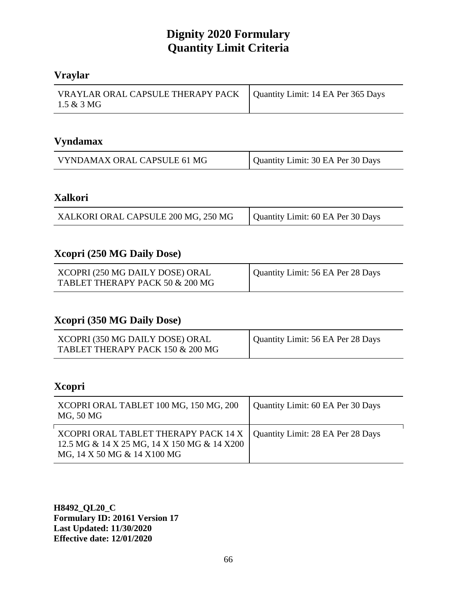# **Vraylar**

| VRAYLAR ORAL CAPSULE THERAPY PACK   Quantity Limit: 14 EA Per 365 Days<br>$1.5 \& 3 MG$ |  |
|-----------------------------------------------------------------------------------------|--|

# **Vyndamax**

| VYNDAMAX ORAL CAPSULE 61 MG | Quantity Limit: 30 EA Per 30 Days |
|-----------------------------|-----------------------------------|

### **Xalkori**

| Quantity Limit: 60 EA Per 30 Days<br>XALKORI ORAL CAPSULE 200 MG, 250 MG |
|--------------------------------------------------------------------------|
|--------------------------------------------------------------------------|

### **Xcopri (250 MG Daily Dose)**

| XCOPRI (250 MG DAILY DOSE) ORAL | Quantity Limit: 56 EA Per 28 Days |
|---------------------------------|-----------------------------------|
| TABLET THERAPY PACK 50 & 200 MG |                                   |

#### **Xcopri (350 MG Daily Dose)**

| XCOPRI (350 MG DAILY DOSE) ORAL  | Quantity Limit: 56 EA Per 28 Days |
|----------------------------------|-----------------------------------|
| TABLET THERAPY PACK 150 & 200 MG |                                   |

### **Xcopri**

| XCOPRI ORAL TABLET 100 MG, 150 MG, 200<br>MG, 50 MG                                                                                                    | Quantity Limit: 60 EA Per 30 Days |
|--------------------------------------------------------------------------------------------------------------------------------------------------------|-----------------------------------|
| XCOPRI ORAL TABLET THERAPY PACK 14 X   Quantity Limit: 28 EA Per 28 Days<br>12.5 MG & 14 X 25 MG, 14 X 150 MG & 14 X200<br>MG, 14 X 50 MG & 14 X100 MG |                                   |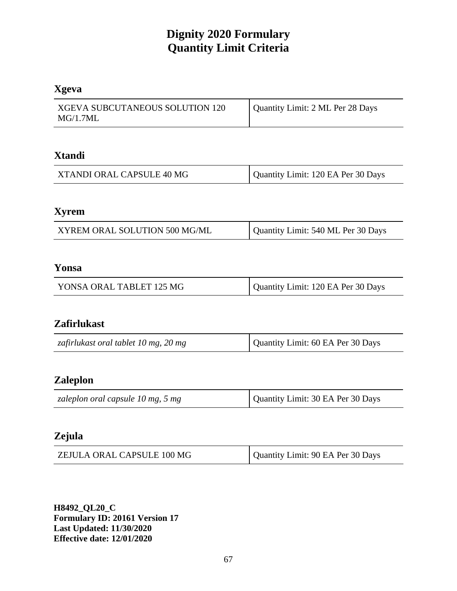# **Xgeva**

| <b>XGEVA SUBCUTANEOUS SOLUTION 120</b><br>MG/1.7ML | Quantity Limit: 2 ML Per 28 Days |
|----------------------------------------------------|----------------------------------|
|----------------------------------------------------|----------------------------------|

#### **Xtandi**

| XTANDI ORAL CAPSULE 40 MG | Quantity Limit: 120 EA Per 30 Days |
|---------------------------|------------------------------------|
|---------------------------|------------------------------------|

# **Xyrem**

| XYREM ORAL SOLUTION 500 MG/ML | Quantity Limit: 540 ML Per 30 Days |
|-------------------------------|------------------------------------|
|-------------------------------|------------------------------------|

#### **Yonsa**

| YONSA ORAL TABLET 125 MG | Quantity Limit: 120 EA Per 30 Days |
|--------------------------|------------------------------------|
|--------------------------|------------------------------------|

# **Zafirlukast**

| zafirlukast oral tablet 10 mg, 20 mg | Quantity Limit: 60 EA Per 30 Days |
|--------------------------------------|-----------------------------------|
|--------------------------------------|-----------------------------------|

# **Zaleplon**

| zaleplon oral capsule 10 mg, 5 mg | Quantity Limit: 30 EA Per 30 Days |
|-----------------------------------|-----------------------------------|
|-----------------------------------|-----------------------------------|

#### **Zejula**

| ZEJULA ORAL CAPSULE 100 MG | Quantity Limit: 90 EA Per 30 Days |
|----------------------------|-----------------------------------|
|----------------------------|-----------------------------------|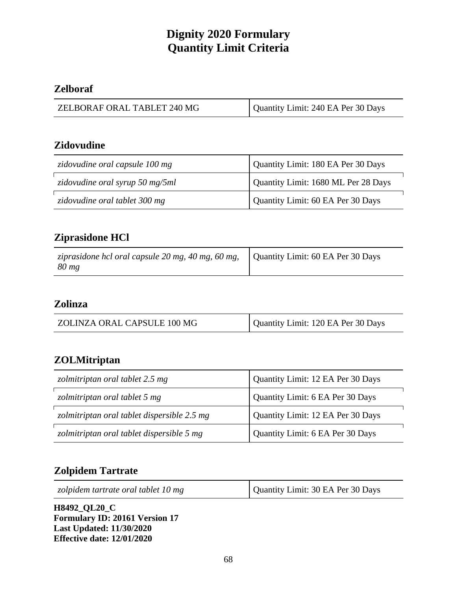# **Zelboraf**

| ZELBORAF ORAL TABLET 240 MG | Quantity Limit: 240 EA Per 30 Days |
|-----------------------------|------------------------------------|
|-----------------------------|------------------------------------|

#### **Zidovudine**

| zidovudine oral capsule 100 mg  | Quantity Limit: 180 EA Per 30 Days  |
|---------------------------------|-------------------------------------|
| zidovudine oral syrup 50 mg/5ml | Quantity Limit: 1680 ML Per 28 Days |
| zidovudine oral tablet 300 mg   | Quantity Limit: 60 EA Per 30 Days   |

# **Ziprasidone HCl**

| Quantity Limit: 60 EA Per 30 Days<br>ziprasidone hcl oral capsule 20 mg, 40 mg, 60 mg,<br>$80 \, mg$ |
|------------------------------------------------------------------------------------------------------|
|------------------------------------------------------------------------------------------------------|

#### **Zolinza**

| ZOLINZA ORAL CAPSULE 100 MG | Quantity Limit: 120 EA Per 30 Days |
|-----------------------------|------------------------------------|
|                             |                                    |

# **ZOLMitriptan**

| zolmitriptan oral tablet 2.5 mg             | Quantity Limit: 12 EA Per 30 Days |
|---------------------------------------------|-----------------------------------|
| zolmitriptan oral tablet 5 mg               | Quantity Limit: 6 EA Per 30 Days  |
| zolmitriptan oral tablet dispersible 2.5 mg | Quantity Limit: 12 EA Per 30 Days |
| zolmitriptan oral tablet dispersible 5 mg   | Quantity Limit: 6 EA Per 30 Days  |

### **Zolpidem Tartrate**

| zolpidem tartrate oral tablet 10 mg | Quantity Limit: 30 EA Per 30 Days |
|-------------------------------------|-----------------------------------|
|                                     |                                   |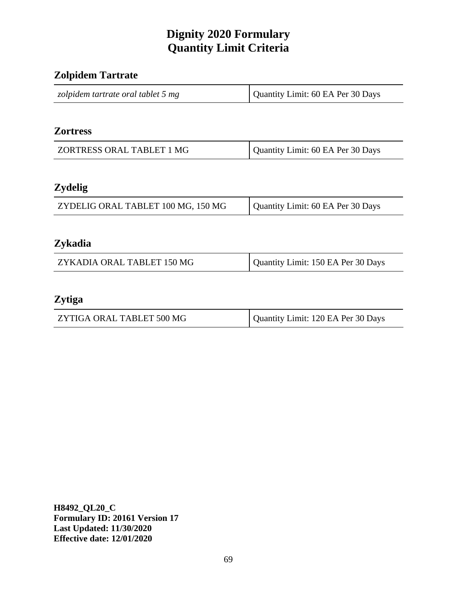# **Zolpidem Tartrate**

| zolpidem tartrate oral tablet 5 mg | Quantity Limit: 60 EA Per 30 Days |
|------------------------------------|-----------------------------------|
|                                    |                                   |

#### **Zortress**

| ZORTRESS ORAL TABLET 1 MG | Quantity Limit: 60 EA Per 30 Days |
|---------------------------|-----------------------------------|
|                           |                                   |

# **Zydelig**

| ZYDELIG ORAL TABLET 100 MG, 150 MG | Quantity Limit: 60 EA Per 30 Days |
|------------------------------------|-----------------------------------|

# **Zykadia**

| ZYKADIA ORAL TABLET 150 MG | Quantity Limit: 150 EA Per 30 Days |
|----------------------------|------------------------------------|
|                            |                                    |

# **Zytiga**

| ZYTIGA ORAL TABLET 500 MG | Quantity Limit: 120 EA Per 30 Days |
|---------------------------|------------------------------------|
|                           |                                    |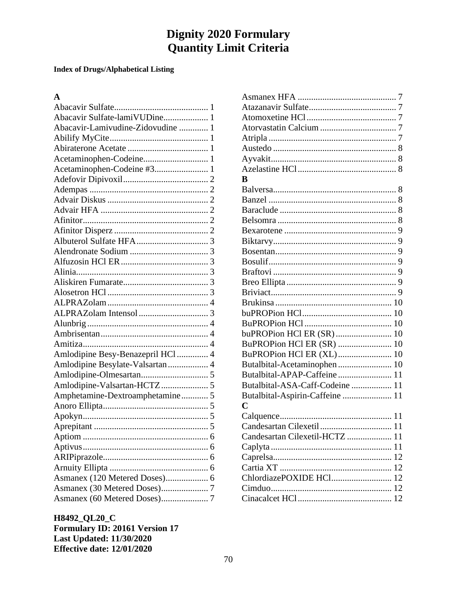#### **Index of Drugs/Alphabetical Listing**

#### $\mathbf{A}$

| Abacavir Sulfate-lamiVUDine 1     |  |
|-----------------------------------|--|
| Abacavir-Lamivudine-Zidovudine  1 |  |
|                                   |  |
|                                   |  |
| Acetaminophen-Codeine 1           |  |
|                                   |  |
|                                   |  |
|                                   |  |
|                                   |  |
|                                   |  |
|                                   |  |
|                                   |  |
|                                   |  |
|                                   |  |
|                                   |  |
|                                   |  |
|                                   |  |
|                                   |  |
|                                   |  |
|                                   |  |
|                                   |  |
|                                   |  |
|                                   |  |
| Amlodipine Besy-Benazepril HCl  4 |  |
| Amlodipine Besylate-Valsartan  4  |  |
|                                   |  |
|                                   |  |
| Amphetamine-Dextroamphetamine 5   |  |
|                                   |  |
|                                   |  |
|                                   |  |
|                                   |  |
|                                   |  |
|                                   |  |
|                                   |  |
|                                   |  |
|                                   |  |
|                                   |  |

| R                               |
|---------------------------------|
|                                 |
|                                 |
|                                 |
|                                 |
|                                 |
|                                 |
|                                 |
|                                 |
|                                 |
|                                 |
|                                 |
|                                 |
|                                 |
|                                 |
| buPROPion HCl ER (SR) 10        |
| BuPROPion HCl ER (SR)  10       |
| BuPROPion HCl ER (XL) 10        |
| Butalbital-Acetaminophen 10     |
| Butalbital-APAP-Caffeine 11     |
| Butalbital-ASA-Caff-Codeine  11 |
| Butalbital-Aspirin-Caffeine  11 |
| C                               |
|                                 |
|                                 |
| Candesartan Cilexetil-HCTZ  11  |
|                                 |
|                                 |
|                                 |
| ChlordiazePOXIDE HCl 12         |
|                                 |
|                                 |
|                                 |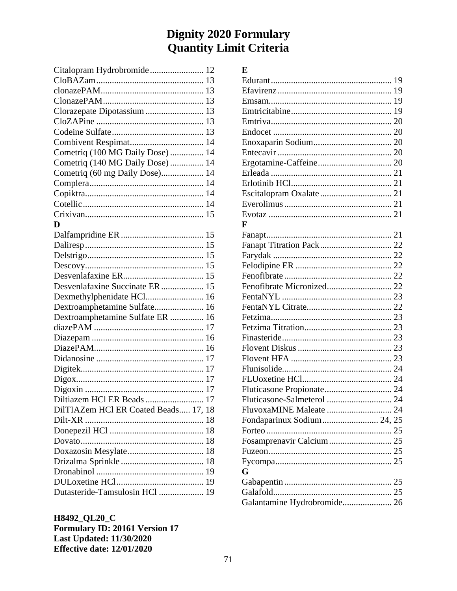| Clorazepate Dipotassium  13<br>Cometriq (100 MG Daily Dose)  14<br>Cometriq (140 MG Daily Dose)  14<br>Cometriq (60 mg Daily Dose) 14<br>D<br>Desvenlafaxine Succinate ER 15<br>Dexmethylphenidate HCl 16<br>Dextroamphetamine Sulfate 16<br>Dextroamphetamine Sulfate ER  16<br>Diltiazem HCl ER Beads  17<br>DilTIAZem HCl ER Coated Beads 17, 18 | Citalopram Hydrobromide 12 |  |
|-----------------------------------------------------------------------------------------------------------------------------------------------------------------------------------------------------------------------------------------------------------------------------------------------------------------------------------------------------|----------------------------|--|
|                                                                                                                                                                                                                                                                                                                                                     |                            |  |
|                                                                                                                                                                                                                                                                                                                                                     |                            |  |
|                                                                                                                                                                                                                                                                                                                                                     |                            |  |
|                                                                                                                                                                                                                                                                                                                                                     |                            |  |
|                                                                                                                                                                                                                                                                                                                                                     |                            |  |
|                                                                                                                                                                                                                                                                                                                                                     |                            |  |
|                                                                                                                                                                                                                                                                                                                                                     |                            |  |
|                                                                                                                                                                                                                                                                                                                                                     |                            |  |
|                                                                                                                                                                                                                                                                                                                                                     |                            |  |
|                                                                                                                                                                                                                                                                                                                                                     |                            |  |
|                                                                                                                                                                                                                                                                                                                                                     |                            |  |
|                                                                                                                                                                                                                                                                                                                                                     |                            |  |
|                                                                                                                                                                                                                                                                                                                                                     |                            |  |
|                                                                                                                                                                                                                                                                                                                                                     |                            |  |
|                                                                                                                                                                                                                                                                                                                                                     |                            |  |
|                                                                                                                                                                                                                                                                                                                                                     |                            |  |
|                                                                                                                                                                                                                                                                                                                                                     |                            |  |
|                                                                                                                                                                                                                                                                                                                                                     |                            |  |
|                                                                                                                                                                                                                                                                                                                                                     |                            |  |
|                                                                                                                                                                                                                                                                                                                                                     |                            |  |
|                                                                                                                                                                                                                                                                                                                                                     |                            |  |
|                                                                                                                                                                                                                                                                                                                                                     |                            |  |
|                                                                                                                                                                                                                                                                                                                                                     |                            |  |
|                                                                                                                                                                                                                                                                                                                                                     |                            |  |
|                                                                                                                                                                                                                                                                                                                                                     |                            |  |
|                                                                                                                                                                                                                                                                                                                                                     |                            |  |
|                                                                                                                                                                                                                                                                                                                                                     |                            |  |
|                                                                                                                                                                                                                                                                                                                                                     |                            |  |
|                                                                                                                                                                                                                                                                                                                                                     |                            |  |
|                                                                                                                                                                                                                                                                                                                                                     |                            |  |
|                                                                                                                                                                                                                                                                                                                                                     |                            |  |
|                                                                                                                                                                                                                                                                                                                                                     |                            |  |
|                                                                                                                                                                                                                                                                                                                                                     |                            |  |
|                                                                                                                                                                                                                                                                                                                                                     |                            |  |
|                                                                                                                                                                                                                                                                                                                                                     |                            |  |
|                                                                                                                                                                                                                                                                                                                                                     |                            |  |
|                                                                                                                                                                                                                                                                                                                                                     |                            |  |
|                                                                                                                                                                                                                                                                                                                                                     |                            |  |
|                                                                                                                                                                                                                                                                                                                                                     |                            |  |
|                                                                                                                                                                                                                                                                                                                                                     |                            |  |
| Dutasteride-Tamsulosin HCl  19                                                                                                                                                                                                                                                                                                                      |                            |  |

| F                           |  |
|-----------------------------|--|
|                             |  |
|                             |  |
|                             |  |
|                             |  |
|                             |  |
|                             |  |
|                             |  |
|                             |  |
|                             |  |
|                             |  |
|                             |  |
|                             |  |
|                             |  |
|                             |  |
|                             |  |
|                             |  |
|                             |  |
| FluvoxaMINE Maleate  24     |  |
| Fondaparinux Sodium 24, 25  |  |
|                             |  |
|                             |  |
|                             |  |
|                             |  |
| G                           |  |
|                             |  |
|                             |  |
| Galantamine Hydrobromide 26 |  |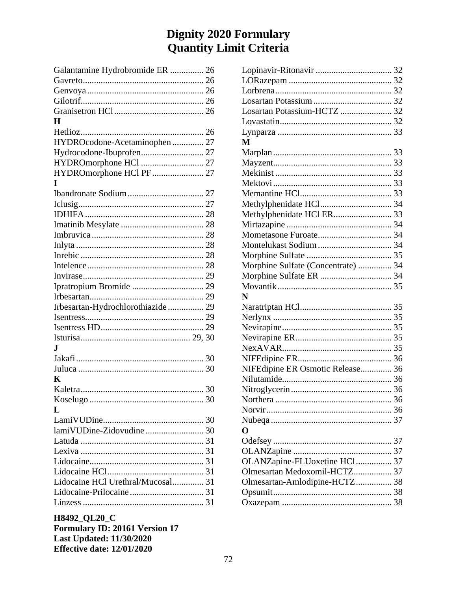| Galantamine Hydrobromide ER  26    |  |
|------------------------------------|--|
|                                    |  |
|                                    |  |
|                                    |  |
|                                    |  |
| H                                  |  |
|                                    |  |
| HYDROcodone-Acetaminophen 27       |  |
|                                    |  |
| HYDROmorphone HCl  27              |  |
| HYDROmorphone HCl PF 27            |  |
| T                                  |  |
|                                    |  |
|                                    |  |
|                                    |  |
|                                    |  |
|                                    |  |
|                                    |  |
|                                    |  |
|                                    |  |
|                                    |  |
|                                    |  |
|                                    |  |
| Irbesartan-Hydrochlorothiazide  29 |  |
|                                    |  |
|                                    |  |
|                                    |  |
| J.                                 |  |
|                                    |  |
|                                    |  |
| K                                  |  |
|                                    |  |
|                                    |  |
| L                                  |  |
|                                    |  |
|                                    |  |
|                                    |  |
|                                    |  |
|                                    |  |
|                                    |  |
| Lidocaine HCl Urethral/Mucosal 31  |  |
|                                    |  |
|                                    |  |
|                                    |  |

| Losartan Potassium-HCTZ  32                                  |  |
|--------------------------------------------------------------|--|
|                                                              |  |
|                                                              |  |
| М                                                            |  |
|                                                              |  |
|                                                              |  |
|                                                              |  |
|                                                              |  |
|                                                              |  |
|                                                              |  |
| Methylphenidate HCl ER 33                                    |  |
|                                                              |  |
|                                                              |  |
|                                                              |  |
|                                                              |  |
| Morphine Sulfate (Concentrate)  34                           |  |
|                                                              |  |
|                                                              |  |
|                                                              |  |
| N                                                            |  |
|                                                              |  |
|                                                              |  |
|                                                              |  |
|                                                              |  |
|                                                              |  |
|                                                              |  |
|                                                              |  |
| NIFEdipine ER Osmotic Release 36                             |  |
|                                                              |  |
|                                                              |  |
|                                                              |  |
|                                                              |  |
| O                                                            |  |
|                                                              |  |
|                                                              |  |
|                                                              |  |
| OLANZapine-FLUoxetine HCl 37<br>Olmesartan Medoxomil-HCTZ 37 |  |
|                                                              |  |
| Olmesartan-Amlodipine-HCTZ 38                                |  |
|                                                              |  |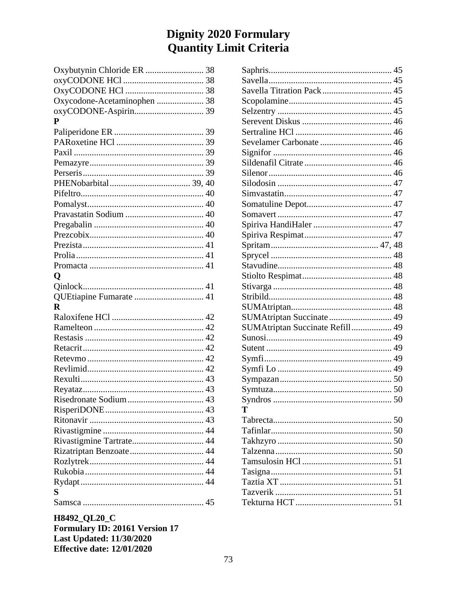## **Dignity 2020 Formulary** Quantity Limit Criteria

| Oxybutynin Chloride ER  38  |  |
|-----------------------------|--|
|                             |  |
|                             |  |
| Oxycodone-Acetaminophen  38 |  |
|                             |  |
| P                           |  |
|                             |  |
|                             |  |
|                             |  |
|                             |  |
|                             |  |
|                             |  |
|                             |  |
|                             |  |
|                             |  |
|                             |  |
|                             |  |
|                             |  |
|                             |  |
|                             |  |
| O                           |  |
|                             |  |
| QUEtiapine Fumarate  41     |  |
| R                           |  |
|                             |  |
|                             |  |
|                             |  |
|                             |  |
|                             |  |
|                             |  |
|                             |  |
|                             |  |
|                             |  |
|                             |  |
|                             |  |
|                             |  |
|                             |  |
| Rizatriptan Benzoate 44     |  |
|                             |  |
|                             |  |
|                             |  |
| S                           |  |
|                             |  |
|                             |  |

H8492\_QL20\_C<br>Formulary ID: 20161 Version 17<br>Last Updated: 11/30/2020 Effective date: 12/01/2020

| SUMAtriptan Succinate 49        |  |
|---------------------------------|--|
| SUMAtriptan Succinate Refill 49 |  |
|                                 |  |
|                                 |  |
|                                 |  |
|                                 |  |
|                                 |  |
|                                 |  |
|                                 |  |
| Т                               |  |
|                                 |  |
|                                 |  |
|                                 |  |
|                                 |  |
|                                 |  |
|                                 |  |
|                                 |  |
|                                 |  |
|                                 |  |